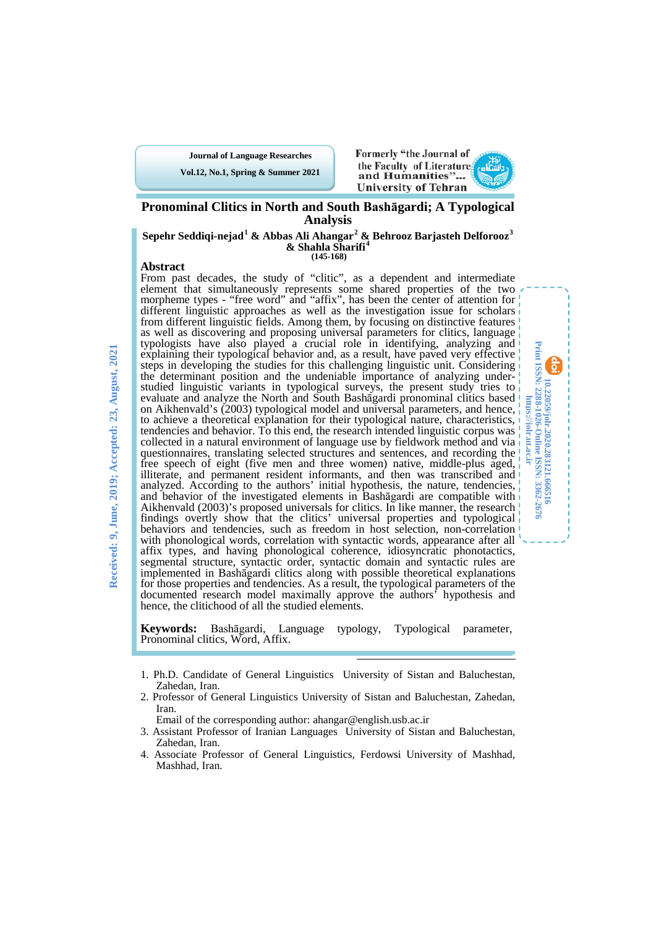**Journal of Language Researches**

**Vol.12, No.1, Spring & Summer 2021**



**10.22059/jolr.2020.283121.666516 Print ISSN: 2288-1026-Online ISSN: 3362-2676 https://jolr.ut.ac.ir**

10.22059/joh.2020.283121.666516

Print ISSN: 2288-1026-Online ISSN: 3362-2676<br>https://jolr.ut.ac.ir

## **Pronominal Clitics in North and South Bashāgardi; A Typological Analysis**

**Sepehr Seddiqi-nejad[1](#page-0-0) & Abbas Ali Ahangar[2](#page-0-1) & Behrooz Barjasteh Delforooz[3](#page-0-2) & Shahla Sharifi[4](#page-0-3) (145-168)**

#### **Abstract**

From past decades, the study of "clitic", as a dependent and intermediate element that simultaneously represents some shared properties of the two morpheme types - "free word" and "affix", has been the center of attention for different linguistic approaches as well as the investigation issue for scholars from different linguistic fields. Among them, by focusing on distinctive features as well as discovering and proposing universal parameters for clitics, language typologists have also played a crucial role in identifying, analyzing and explaining their typological behavior and, as a result, have paved very effective steps in developing the studies for this challenging linguistic unit. Considering the determinant position and the undeniable importance of analyzing underthe determinant position and the undeniable importance of analyzing under- studied linguistic variants in typological surveys, the present study tries to evaluate and analyze the North and South Bashāgardi pronominal clitics based on Aikhenvald's (2003) typological model and universal parameters, and hence, to achieve a theoretical explanation for their typological nature, characteristics, tendencies and behavior. To this end, the research intended linguistic corpus was collected in a natural environment of language use by fieldwork method and via questionnaires, translating selected structures and sentences, and recording the free speech of eight (five men and three women) native, middle-plus aged, illiterate, and permanent resident informants, and then was transcribed and analyzed. According to the authors' initial hypothesis, the nature, tendencies, and behavior of the investigated elements in Bashāgardi are compatible with Aikhenvald (2003)'s proposed universals for clitics. In like manner, the research findings overtly show that the clitics' universal properties and typological behaviors and tendencies, such as freedom in host selection, non-correlation with phonological words, correlation with syntactic words, appearance after all affix types, and having phonological coherence, idiosyncratic phonotactics, segmental structure, syntactic order, syntactic domain and syntactic rules are implemented in Bashāgardi clitics along with possible theoretical explanations for those properties and tendencies. As a result, the typological parameters of the documented research model maximally approve the authors' hypothesis and hence, the clitichood of all the studied elements.

**Keywords:** Bashāgardi, Language typology, Typological parameter, Pronominal clitics, Word, Affix.

<span id="page-0-0"></span>1. Ph.D. Candidate of General Linguistics University of Sistan and Baluchestan, Zahedan, Iran.

-

<span id="page-0-1"></span>2. Professor of General Linguistics University of Sistan and Baluchestan, Zahedan, Iran.

Email of the corresponding author: ahangar@english.usb.ac.ir

- <span id="page-0-2"></span>3. Assistant Professor of Iranian Languages University of Sistan and Baluchestan, Zahedan, Iran.
- <span id="page-0-3"></span>4. Associate Professor of General Linguistics, Ferdowsi University of Mashhad, Mashhad, Iran.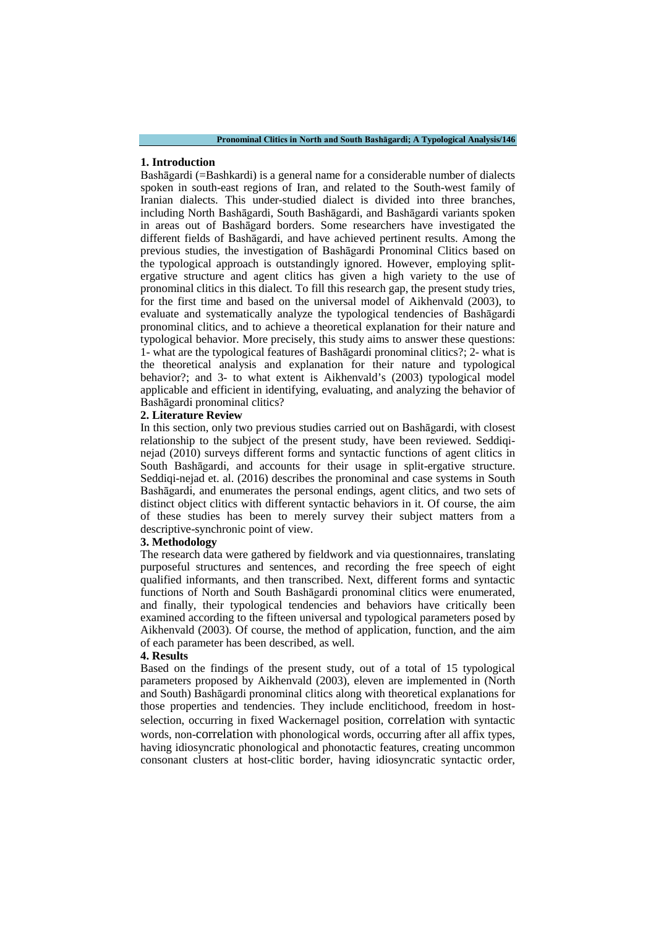## **1. Introduction**

Bashāgardi (=Bashkardi) is a general name for a considerable number of dialects spoken in south-east regions of Iran, and related to the South-west family of Iranian dialects. This under-studied dialect is divided into three branches, including North Bashāgardi, South Bashāgardi, and Bashāgardi variants spoken in areas out of Bashāgard borders. Some researchers have investigated the different fields of Bashāgardi, and have achieved pertinent results. Among the previous studies, the investigation of Bashāgardi Pronominal Clitics based on the typological approach is outstandingly ignored. However, employing splitergative structure and agent clitics has given a high variety to the use of pronominal clitics in this dialect. To fill this research gap, the present study tries, for the first time and based on the universal model of Aikhenvald (2003), to evaluate and systematically analyze the typological tendencies of Bashāgardi pronominal clitics, and to achieve a theoretical explanation for their nature and typological behavior. More precisely, this study aims to answer these questions: 1- what are the typological features of Bashāgardi pronominal clitics?; 2- what is the theoretical analysis and explanation for their nature and typological behavior?; and 3- to what extent is Aikhenvald's (2003) typological model applicable and efficient in identifying, evaluating, and analyzing the behavior of Bashāgardi pronominal clitics?

### **2. Literature Review**

In this section, only two previous studies carried out on Bashāgardi, with closest relationship to the subject of the present study, have been reviewed. Seddiqinejad (2010) surveys different forms and syntactic functions of agent clitics in South Bashāgardi, and accounts for their usage in split-ergative structure. Seddiqi-nejad et. al. (2016) describes the pronominal and case systems in South Bashāgardi, and enumerates the personal endings, agent clitics, and two sets of distinct object clitics with different syntactic behaviors in it. Of course, the aim of these studies has been to merely survey their subject matters from a descriptive-synchronic point of view.

#### **3. Methodology**

The research data were gathered by fieldwork and via questionnaires, translating purposeful structures and sentences, and recording the free speech of eight qualified informants, and then transcribed. Next, different forms and syntactic functions of North and South Bashāgardi pronominal clitics were enumerated, and finally, their typological tendencies and behaviors have critically been examined according to the fifteen universal and typological parameters posed by Aikhenvald (2003). Of course, the method of application, function, and the aim of each parameter has been described, as well.

#### **4. Results**

Based on the findings of the present study, out of a total of 15 typological parameters proposed by Aikhenvald (2003), eleven are implemented in (North and South) Bashāgardi pronominal clitics along with theoretical explanations for those properties and tendencies. They include enclitichood, freedom in hostselection, occurring in fixed Wackernagel position, correlation with syntactic words, non-correlation with phonological words, occurring after all affix types, having idiosyncratic phonological and phonotactic features, creating uncommon consonant clusters at host-clitic border, having idiosyncratic syntactic order,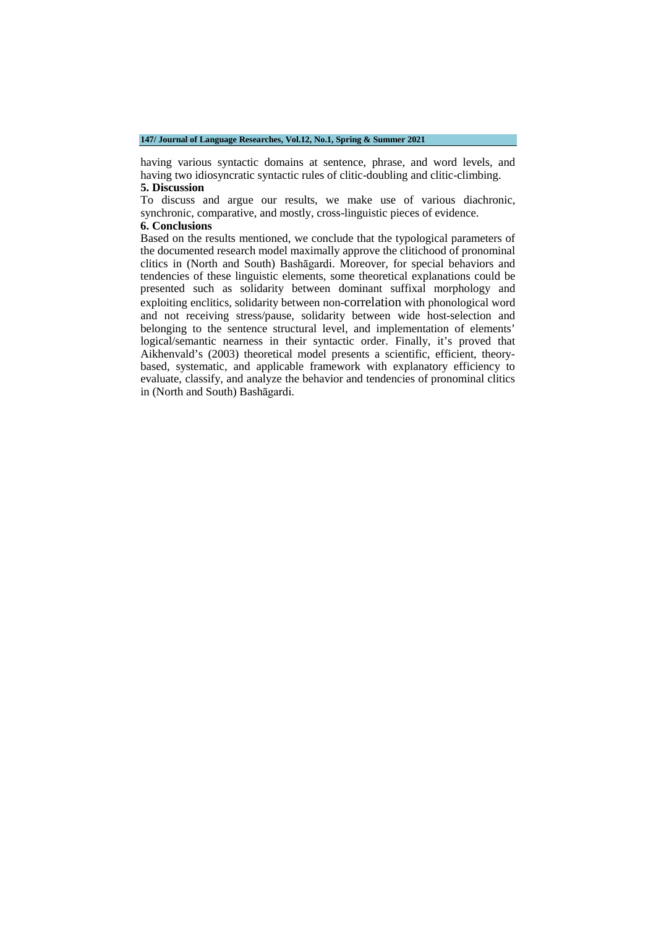### **147/ Journal of Language Researches, Vol.12, No.1, Spring & Summer 2021**

having various syntactic domains at sentence, phrase, and word levels, and having two idiosyncratic syntactic rules of clitic-doubling and clitic-climbing. **5. Discussion**

To discuss and argue our results, we make use of various diachronic, synchronic, comparative, and mostly, cross-linguistic pieces of evidence.

## **6. Conclusions**

Based on the results mentioned, we conclude that the typological parameters of the documented research model maximally approve the clitichood of pronominal clitics in (North and South) Bashāgardi. Moreover, for special behaviors and tendencies of these linguistic elements, some theoretical explanations could be presented such as solidarity between dominant suffixal morphology and exploiting enclitics, solidarity between non-correlation with phonological word and not receiving stress/pause, solidarity between wide host-selection and belonging to the sentence structural level, and implementation of elements' logical/semantic nearness in their syntactic order. Finally, it's proved that Aikhenvald's (2003) theoretical model presents a scientific, efficient, theorybased, systematic, and applicable framework with explanatory efficiency to evaluate, classify, and analyze the behavior and tendencies of pronominal clitics in (North and South) Bashāgardi.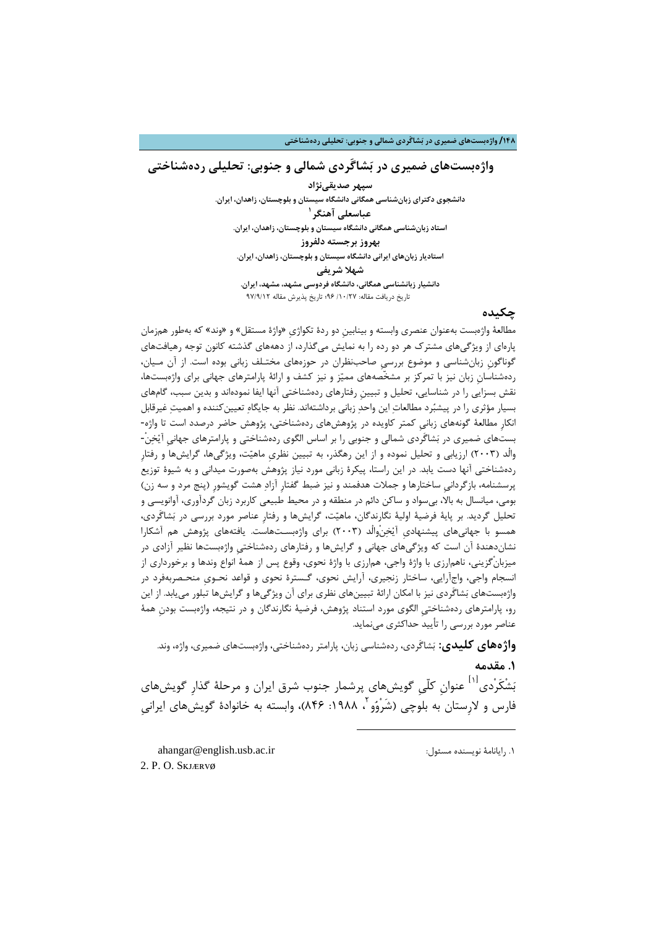### **/148 واژهبستهاي ضمیري در بشاگَردي شمالی و جنوبی: تحلیلی ردهشناختی**

## **واژهبستهاي ضمیري در بشاگَردي شمالی و جنوبی: تحلیلی ردهشناختی**

**سپهر صدیقینژاد دانشجوي دکتراي زبانشناسی همگانی دانشگاه سیستان و بلوچستان، زاهدان، ایران. [1](#page-3-0) عباسعلی آهنگر استاد زبانشناسی همگانی دانشگاه سیستان و بلوچستان، زاهدان، ایران. بهروز برجسته دلفروز استادیار زبانهاي ایرانی دانشگاه سیستان و بلوچستان، زاهدان، ایران. شهلا شریفی دانشیار زبانشناسی همگانی، دانشگاه فردوسی مشهد، مشهد، ایران.** تاریخ دریافت مقاله: /10/27 96؛ تاریخ پذیرش مقاله 97/9/12

## **چکیده**

مطالعۀ واژهبست بهعنوان عنصري وابسته و بینابینِ دو ردة تکواژيِ «واژة مستقل» و «وند» که بهطور همزمان پارهاي از ویژگیهاي مشترك هر دو رده را به نمایش میگذارد، از دهههاي گذشته کانون توجه رهیافتهاي گوناگونِ زبانشناسی و موضوع بررسیِ صاحبنظران در حوزههاي مختـلف زبانی بوده است. از آن مـیان، ردهشناسانِ زبان نیز با تمرکز بر مشخّصههاي ممیز و نیز کشف و ارائۀ پارامترهاي جهانی براي واژهبستها، نقش بسزایی را در شناسایی، تحلیل و تبیینِ رفتارهاي ردهشناختی آنها ایفا نمودهاند و بدین سبب، گامهاي بسیار مؤثري را در پیشبرد مطالعات این واحد زبانی برداشتهاند. نظر به جایگاه تعیینکننده و اهمیت غیرقابل انکارِ مطالعۀ گونههاي زبانیِ کمتر کاویده در پژوهشهاي ردهشناختی، پژوهش حاضر درصدد است تا واژه- بستهاي ضمیري در بشاگَردي شمالی و جنوبی را بر اساس الگوي ردهشناختی و پارامترهاي جهانیِ آیخن-ْ والْد (2003) ارزیابی و تحلیل نموده و از این رهگذر، به تبیین نظريِ ماهیت، ویژگیها، گرایشها و رفتارِ ردهشناختی آنها دست یابد. در این راستا، پیکرة زبانی مورد نیاز پژوهش بهصورت میدانی و به شیوة توزیع پرسشنامه، بازگردانیِ ساختارها و جملات هدفمند و نیز ضبط گفتارِ آزاد هشت گویشورِ (پنج مرد و سه زن) بومی، میانسال به بالا، بیسواد و ساکن دائم در منطقه و در محیط طبیعی کاربرد زبان گردآوري، آوانویسی و تحلیل گردید. بر پایۀ فرضیۀ اولیۀ نگارندگان، ماهیت، گرایشها و رفتارِ عناصر مورد بررسی در بشاگَردي، همسو با جهانیهاي پیشنهاديِ آیخنْوالْد (2003) براي واژهبسـتهاست. یافتههاي پژوهش هم آشکارا نشاندهندة آن است که ویژگیهاي جهانی و گرایشها و رفتارهاي ردهشناختیِ واژهبستها نظیر آزادي در میزبانْگزینی، ناهمارزي با واژة واجی، همارزي با واژة نحوي، وقوع پس از همۀ انواع وندها و برخورداري از انسجام واجی، واجآرایی، ساختار زنجیري، آرایش نحوي، گـسترة نحوي و قواعد نحـويِ منحـصربهفرد در واژهبستهاي بشاگَردي نیز با امکان ارائۀ تبیینهاي نظري براي آن ویژگیها و گرایشها تبلور مییابد. از این رو، پارامترهاي ردهشناختیِ الگوي مورد استناد پژوهش، فرضیۀ نگارندگان و در نتیجه، واژهبست بودنِ همۀ عناصر مورد بررسی را تأیید حداکثري مینماید.

**واژههاي کلیدي:** بشاگَردي، ردهشناسی زبان، پارامتر ردهشناختی، واژهبستهاي ضمیري، واژه، وند. **.1 مقدمه**

بَشْکَر<sup>ْ</sup>دی<sup>[۱]</sup> عنوان کلّی گویشهای پرشمار جنوب شرق ایران و مرحلۀ گذارِ گویشهای فارس و لارستان به بلوچی (شَرْوُو ، ۱۹۸۸: ۸۴۶)، وابسته به خانوادهٔ گویشهای ایرانی

-

<span id="page-3-1"></span><span id="page-3-0"></span>ahangar@english.usb.ac.ir :مسئول نویسنده رایانامۀ [.1](#page-3-1) 2. P.O. SKJÆRVØ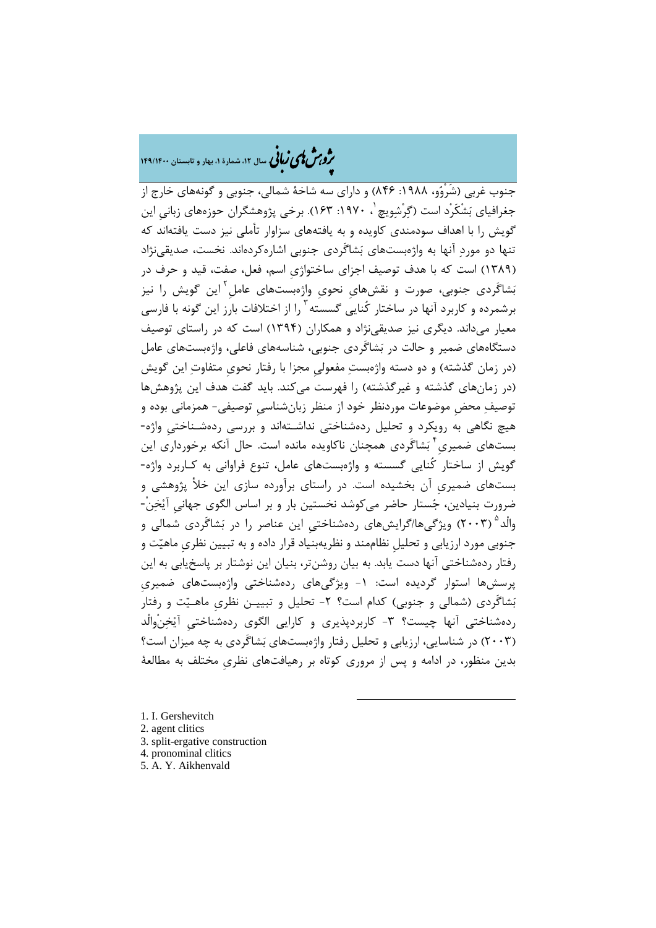# �ی زبا **، سال ،12 شمارة ،1 بهار و تابستان 149/1400** � �و ی �ش

جنوب غربی (شَرْوو، :1988 846) و داراي سه شاخۀ شمالی، جنوبی و گونههاي خارج از جغرافیای بَشْکَرْد است (گرْشویچ ، ۱۹۷۰: ۱۶۳). برخی پژوهشگران حوزههای زبانی این گویش را با اهداف سودمندي کاویده و به یافتههاي سزاوار تأملی نیز دست یافتهاند که تنها دو مورد آنها به واژهبستهاي بشاگَردي جنوبی اشارهکردهاند. نخست، صدیقینژاد (1389) است که با هدف توصیف اجزاي ساختواژيِ اسم، فعل، صفت، قید و حرف در بَشاگَردی جنوبی، صورت و نقشهای نحوی واژهبستهای عامل<sup>۲</sup>این گویش را نیز برشمرده و کاربرد آنها در ساختار کُنایی گسسته ۱٫<sup>۳</sup> از اختلافات بارز این گونه با فارسی معیار میداند. دیگري نیز صدیقینژاد و همکاران (1394) است که در راستاي توصیف دستگاههاي ضمیر و حالت در بشاگَردي جنوبی، شناسههاي فاعلی، واژهبستهاي عامل (در زمان گذشته) و دو دسته واژهبست مفعولیِ مجزا با رفتار نحويِ متفاوت این گویش (در زمانهاي گذشته و غیرگذشته) را فهرست میکند. باید گفت هدف این پژوهشها توصیف محضِ موضوعات موردنظر خود از منظر زبانشناسیِ توصیفی- همزمانی بوده و هیچ نگاهی به رویکرد و تحلیل ردهشناختی نداشـتهاند و بررسی ردهشـناختیِ واژه- بستهای ضمیری<sup>۴</sup> بَشاگَردی همچنان ناکاویده مانده است. حال آنکه برخورداری این گویش از ساختار کُنایی گسسته و واژهبستهاي عامل، تنوع فراوانی به کـاربرد واژه- بستهاي ضمیريِ آن بخشیده است. در راستاي برآورده سازي این خلأ پژوهشی و ضرورت بنیادین، جستار حاضر میکوشد نخستین بار و بر اساس الگوي جهانیِ آیخن-ْ والْد<sup>۵</sup> (۲۰۰۳) ویژگیها/گرایشهای ردهشناختی این عناصر را در بَشاگَردی شمالی و جنوبی مورد ارزیابی و تحلیلِ نظاممند و نظریهبنیاد قرار داده و به تبیین نظريِ ماهیت و رفتار ردهشناختی آنها دست یابد. به بیان روشنتر، بنیان این نوشتار بر پاسخیابی به این پرسشها استوار گردیده است: ١- ویژگیهای ردهشناختی واژهبستهای ضمیری بَشاگَردي (شمالي و جنوبي) کدام است؟ ۲- تحلیل و تبییـن نظري ماهـیّت و رفتار ردهشناختی آنها چیست؟ -3 کاربردپذیري و کارایی الگوي ردهشناختیِ آیخنْوالْد (2003) در شناسایی، ارزیابی و تحلیل رفتار واژهبستهاي بشاگَردي به چه میزان است؟ بدین منظور، در ادامه و پس از مروري کوتاه بر رهیافتهاي نظريِ مختلف به مطالعۀ

-

<span id="page-4-4"></span><span id="page-4-3"></span><span id="page-4-2"></span><span id="page-4-1"></span><span id="page-4-0"></span>1. I. Gershevitch 2. agent clitics 3. split-ergative construction 4. pronominal clitics 5. A. Y. Aikhenvald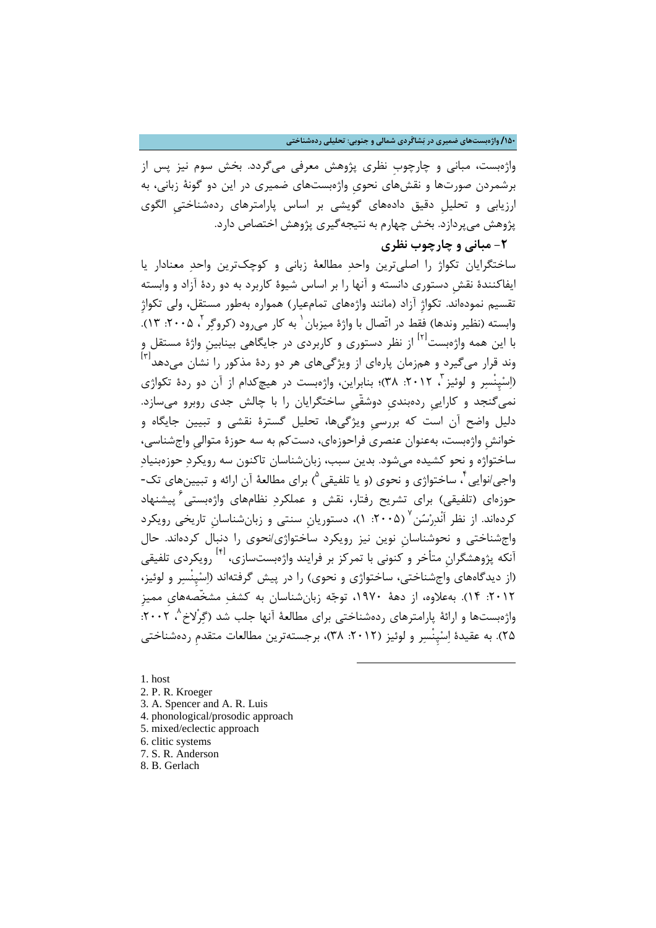## **/150 واژهبستهاي ضمیري در بشاگَردي شمالی و جنوبی: تحلیلی ردهشناختی**

واژهبست، مبانی و چارچوبِ نظري پژوهش معرفی میگردد. بخش سوم نیز پس از برشمردن صورتها و نقشهاي نحويِ واژهبستهاي ضمیري در این دو گونۀ زبانی، به ارزیابی و تحلیلِ دقیق دادههاي گویشی بر اساس پارامترهاي ردهشناختیِ الگوي پژوهش میپردازد. بخش چهارم به نتیجهگیري پژوهش اختصاص دارد.

# **-2 مبانی و چارچوب نظري**

ساختگرایان تکواژ را اصلیترین واحد مطالعۀ زبانی و کوچکترین واحد معنادار یا ایفاکنندة نقشِ دستوري دانسته و آنها را بر اساس شیوة کاربرد به دو ردة آزاد و وابسته تقسیم نمودهاند. تکواژِ آزاد (مانند واژههاي تمامعیار) همواره بهطور مستقل، ولی تکواژِ وابسته (نظیر وندها) فقط در اتّصال با واژهٔ میزبان <sup>۱</sup> به کار می ود (کروگر <sup>۲</sup>، ۲۰۰۵: ۱۳). با این همه واژهبست<sup>ا۱۲</sup> از نظر دستوری و کاربردی در جایگاهی بینابین واژهٔ مستقل و وند قرار میگیرد و همزمان پارهای از ویژگیهای هر دو ردهٔ مذکور را نشان میدهد<sup>۳۱</sup> (اسْپِنْسر و لوئیز ، ٢٠١٢: ٣٨)؛ بنابراین، واژهبست در هیچکدام از آن دو ردهٔ تکواژي نمیگنجد و کاراییِ ردهبنديِ دوشقّیِ ساختگرایان را با چالش جدي روبرو میسازد. دلیل واضح آن است که بررسیِ ویژگیها، تحلیل گسترة نقشی و تبیین جایگاه و خوانشِ واژهبست، بهعنوان عنصري فراحوزهاي، دستکم به سه حوزة متوالیِ واجشناسی، ساختواژه و نحو کشیده میشود. بدین سبب، زبانشناسان تاکنون سه رویکرد حوزهبنیاد واجی/نوایی ٔ ، ساختواژی و نحوی (و یا تلفیقی  $\bigcirc$  برای مطالعهٔ آن ارائه و تبیینهای تک-حوزهاي (تلفیقی) براي تشریح رفتار، نقش و عملکرد نظامهاي واژهبستی پیشنهاد [6](#page-5-5) کردهاند. از نظر اَنْدرْسُن<sup>ِ ۷</sup> (۲۰۰۵: ۱)، دستوریان سنتی و زبانشناسان تاریخی رویکرد واجشناختی و نحوشناسانِ نوین نیز رویکرد ساختواژي/نحوي را دنبال کردهاند. حال آنکه پژوهشگران متأخر و کنونی با تمرکز بر فرایند واژهبستسازی، <sup>[۴]</sup> رویکردی تلفیقی (از دیدگاههاي واجشناختی، ساختواژي و نحوي) را در پیش گرفتهاند (اسپِنْسر و لوئیز، :2012 14). بهعلاوه، از دهۀ ،1970 توجه زبانشناسان به کشف مشخّصههايِ ممیزِ واژهبستها و ارائۀ پارامترهاي ردهشناختی براي مطالعۀ آنها جلب شد (گرْلاخ ^، ٢٠٠٢: 25). به عقیدة اسپِنْسر و لوئیز (:2012 38)، برجستهترین مطالعات متقدمِ ردهشناختی

-

<span id="page-5-0"></span>1. host

- <span id="page-5-1"></span>2. P. R. Kroeger
- <span id="page-5-2"></span>3. A. Spencer and A. R. Luis
- <span id="page-5-3"></span>4. phonological/prosodic approach
- <span id="page-5-4"></span>5. mixed/eclectic approach
- <span id="page-5-5"></span>6. clitic systems
- <span id="page-5-6"></span>7. S. R. Anderson
- <span id="page-5-7"></span>8. B. Gerlach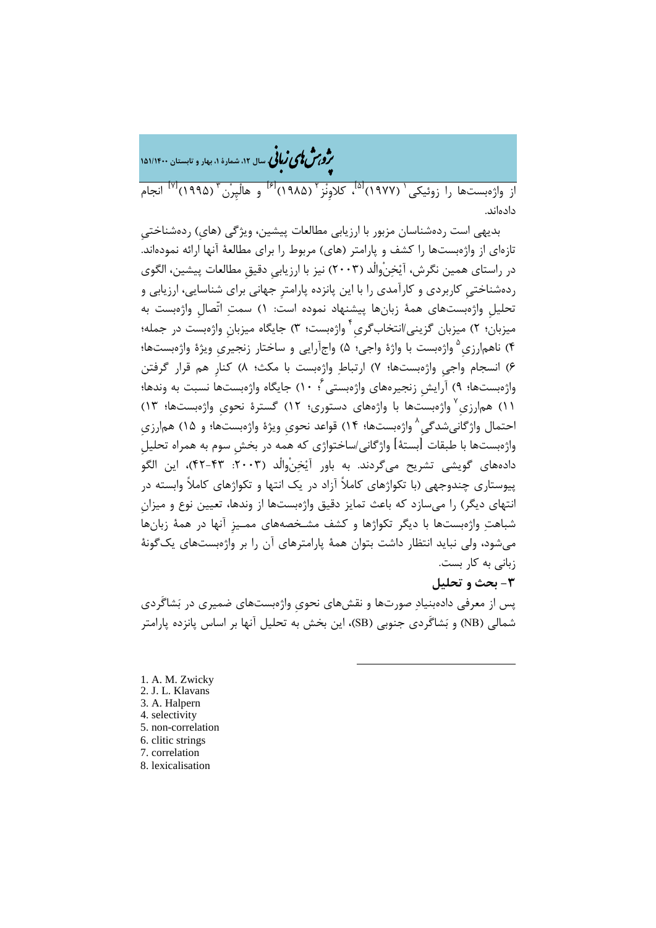�ی زبا **، سال ،12 شمارة ،1 بهار و تابستان 151/1400** � �و ی �ش

از واژەبستھا را زوئیکی ` (۱۹۷۷)<sup>'۱۵</sup>، کلاونْز ` (۱۹۸۵)<sup>'۱۶]</sup> و هالْپرْن <sup>۳</sup> (۱۹۹۵)<sup>'۱۷]</sup> انجام دادهاند.

بدیهی است ردهشناسان مزبور با ارزیابی مطالعات پیشین، ویژگی (هايِ) ردهشناختیِ تازهاي از واژهبستها را کشف و پارامتر (هاي) مربوط را براي مطالعۀ آنها ارائه نمودهاند. در راستاي همین نگرش، آیخنْوالْد (2003) نیز با ارزیابیِ دقیقِ مطالعات پیشین، الگوي ردهشناختیِ کاربردي و کارآمدي را با این پانزده پارامترِ جهانی براي شناسایی، ارزیابی و تحلیلِ واژهبستهاي همۀ زبانها پیشنهاد نموده است: 1) سمت اتّصالِ واژهبست به میزبان؛ ۲) میزبان گزینی/انتخابگری<sup>۴</sup> واژهبست؛ ۳) جایگاه میزبان واژهبست در جمله؛ [5](#page-6-4) 4) ناهمارزيِ واژهبست با واژة واجی؛ 5) واجآرایی و ساختار زنجیريِ ویژة واژهبستها؛ 6) انسجام واجیِ واژهبستها؛ 7) ارتباط واژهبست با مکث؛ 8) کنارِ هم قرار گرفتن واژهبستها؛ ۹) آرایش زنجیرههای واژهبستی ٔ؛ ۱۰) جایگاه واژهبستها نسبت به وندها؛ واژهبستها با واژههاي دستوري؛ 12) گسترة نحويِ واژهبستها؛ 13) [7](#page-6-6) 11) همارزيِ احتمال واژگانیشدگی $\,{}^{\wedge}\,$ واژهبستها؛ ۱۴) قواعد نحوی ویژهٔ واژهبستها؛ و ۱۵) هم|رزی واژهبستها با طبقات [بستۀ] واژگانی/ساختواژي که همه در بخشِ سوم به همراه تحلیلِ دادههای گویشی تشریح می $\xi$ ردند. به باور آیْخنْوالْد (۲۰۰۳: ۴۳-۴۲)، این الگو پیوستاري چندوجهی (با تکواژهاي کاملاً آزاد در یک انتها و تکواژهاي کاملاً وابسته در انتهاي دیگر) را میسازد که باعث تمایز دقیق واژهبستها از وندها، تعیین نوع و میزانِ شباهت واژهبستها با دیگر تکواژها و کشف مشـخصههاي ممـیزِ آنها در همۀ زبانها میشود، ولی نباید انتظار داشت بتوان همۀ پارامترهاي آن را بر واژهبستهاي یکگونۀ زبانی به کار بست.

## **-3 بحث و تحلیل**

پس از معرفی دادهبنیاد صورتها و نقشهاي نحويِ واژهبستهاي ضمیري در بشاگَردي شمالی (NB (و بشاگَردي جنوبی (SB(، این بخش به تحلیل آنها بر اساس پانزده پارامتر

-

<span id="page-6-7"></span><span id="page-6-6"></span><span id="page-6-5"></span><span id="page-6-4"></span><span id="page-6-3"></span><span id="page-6-2"></span><span id="page-6-1"></span><span id="page-6-0"></span>1. A. M. Zwicky 2. J. L. Klavans 3. A. Halpern 4. selectivity 5. non-correlation 6. clitic strings 7. correlation 8. lexicalisation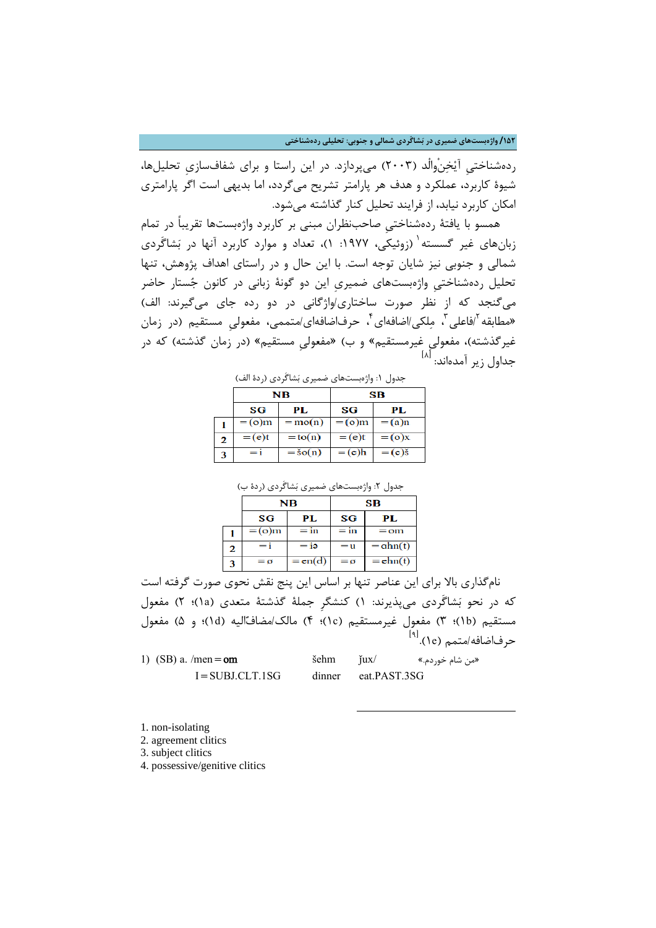**/152 واژهبستهاي ضمیري در بشاگَردي شمالی و جنوبی: تحلیلی ردهشناختی**

ردهشناختیِ آیخنْوالْد (2003) میپردازد. در این راستا و براي شفافسازيِ تحلیلها، شیوة کاربرد، عملکرد و هدف هر پارامتر تشریح میگردد، اما بدیهی است اگر پارامتري امکان کاربرد نیابد، از فرایند تحلیل کنار گذاشته میشود.

همسو با یافتۀ ردهشناختیِ صاحبنظران مبنی بر کاربرد واژهبستها تقریباً در تمام زبانهای غیر گسسته <sup>۱</sup> (زوئیکی، ۱۹۷۷: ۱)، تعداد و موارد کاربرد آنها در بَشاگَردی شمالی و جنوبی نیز شایان توجه است. با این حال و در راستاي اهداف پژوهش، تنها تحلیل ردهشناختیِ واژهبستهاي ضمیريِ این دو گونۀ زبانی در کانون جستار حاضر میگنجد که از نظر صورت ساختاري/واژگانی در دو رده جاي میگیرند: الف) «مطابقه <sup>۲</sup>افاعلی <sup>۳</sup>، مِلکی/اضافهای ٔ حرفاضافهای/متممی، مفعولی مستقیم (در زمان غیرگذشته)، مفعولیِ غیرمستقیم» و ب) «مفعولیِ مستقیم» (در زمان گذشته) که در جداول زیر آمدهاند: <sup>ا۸]</sup>

|   | بتنون ، . وارتبست کال سنیری بست ترتای ارت |              |          |                 |
|---|-------------------------------------------|--------------|----------|-----------------|
|   | NВ                                        |              | SВ       |                 |
|   | SG                                        | PL.          | SG       | PL.             |
|   | $=$ (o)m                                  | $=$ mo $(n)$ | $=$ (o)m | $=$ (a)n        |
| 2 | $=$ (e)t                                  | $=$ to(n)    | $=$ (e)t | $=(\infty)$ x   |
| 3 | $=$ i                                     | $=$ šo $(n)$ | $=$ (e)h | $=(e)\check{s}$ |

جدول :1 واژهبستهاي ضمیري بشاگَردي (ردة الف)

|  |  | جدول ۲: واژەبستھای ضمیری بَشاگَردی (ردهٔ ب) |  |
|--|--|---------------------------------------------|--|
|  |  |                                             |  |

|   | NВ       |           | SВ     |               |
|---|----------|-----------|--------|---------------|
|   | SG       | PL        | SG     | PL.           |
|   | $=$ (o)m | $=$ in    | $=$ in | $=$ om        |
| 2 | Ξi       | $=$ iə    | $=$ u  | $=$ $ahn(t)$  |
| 3 | $= 0$    | $= en(d)$ | $= 0$  | $=$ ehn $(t)$ |

نامگذاري بالا براي این عناصر تنها بر اساس این پنج نقش نحوي صورت گرفته است که در نحو بشاگَردي میپذیرند: 1) کنشگرِ جملۀ گذشتۀ متعدي (a1(؛ 2) مفعول مستقیم (b1(؛ 3) مفعول غیرمستقیم (c1(؛ 4) مالک/مضافالیه (d1(؛ و 5) مفعول حرفاضافه/متمم (l٩).<sup>[۹]</sup>

-

| 1) (SB) a. /men = $om$ | $\varepsilon$ sehm $\varepsilon$ |                     | «من شام خوردم.» |
|------------------------|----------------------------------|---------------------|-----------------|
| $I = SUBJ.CLT.1SG$     |                                  | dinner eat.PAST.3SG |                 |

<span id="page-7-0"></span>1. non-isolating

<span id="page-7-1"></span>2. agreement clitics

<span id="page-7-2"></span>3. subject clitics

<span id="page-7-3"></span>4. possessive/genitive clitics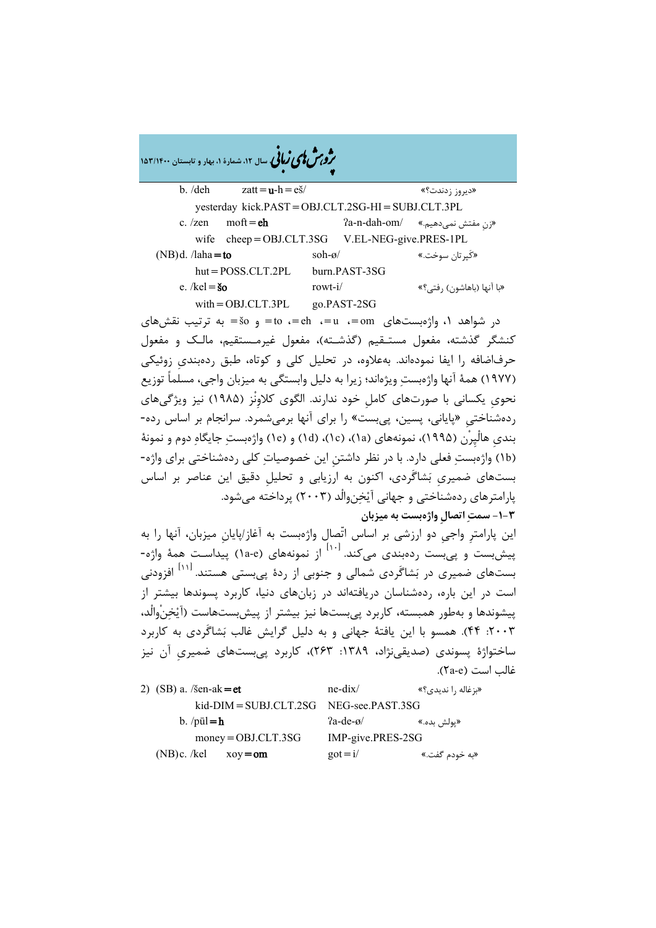|                                               | <b>حرفی کی کی کتابی</b> سال ۱۲، شمارهٔ ۱، بهار و تابستان ۱۵۳/۱۴۰۰ |                 |               |                           |
|-----------------------------------------------|-------------------------------------------------------------------|-----------------|---------------|---------------------------|
| b. /deh                                       | $z$ att = $u$ -h = $e\check{s}$                                   |                 |               | «ديروز زدندت؟»            |
|                                               | yesterday kick.PAST=OBJ.CLT.2SG-HI=SUBJ.CLT.3PL                   |                 |               |                           |
| c. $/zen$                                     | $\text{moft} = \text{eh}$                                         |                 | ?a-n-dah-om/  | «زن مفتش نميدهيم.»        |
| wife                                          | $cheep = OBJ.CLT.3SG$ V.EL-NEG-give.PRES-1PL                      |                 |               |                           |
| $(NB)d.$ /laha=to                             |                                                                   | soh- $\alpha$ / |               | «کَیرتان سوخت.»           |
|                                               | $hut = POSS.CLT.2PL$                                              |                 | burn.PAST-3SG |                           |
| e. /kel = $\boldsymbol{\check{\mathrm{s}}}$ o |                                                                   | rowt- $i/$      |               | «با آنها (باهاشون) رفتي؟» |
|                                               | $with = OBJ.CLT.3PL$                                              |                 | go.PAST-2SG   |                           |

�ی زبا **، سال ،12 شمارة ،1 بهار و تابستان 153/1400** � �و ی �ش

در شواهد ۱، واژهبستهاي  $-$ om=،  $-$ u=،  $-$ om=، و  $-$ ة $\leq$  به ترتیب نقش $a$ ای کنشگر گذشته، مفعول مستـقیم (گذشـته)، مفعول غیرمـستقیم، مالـک و مفعول حرفاضافه را ایفا نمودهاند. بهعلاوه، در تحلیل کلی و کوتاه، طبق ردهبنديِ زوئیکی (1977) همۀ آنها واژهبست ویژهاند؛ زیرا به دلیل وابستگی به میزبان واجی، مسلماً توزیع نحويِ یکسانی با صورتهاي کاملِ خود ندارند. الگوي کلاوِنْز (1985) نیز ویژگیهاي ردهشناختیِ «پایانی، پسین، پیبست» را براي آنها برمیشمرد. سرانجام بر اساس رده- بنديِ هالْپِرْن (1995)، نمونههاي (a1(،) c1(،) d1 (و (e1 (واژهبست جایگاه دوم و نمونۀ (b1 (واژهبست فعلی دارد. با در نظر داشتنِ این خصوصیات کلی ردهشناختی براي واژه- بستهاي ضمیريِ بشاگَردي، اکنون به ارزیابی و تحلیلِ دقیق این عناصر بر اساس پارامترهاي ردهشناختی و جهانی آیخنوالْد (2003) پرداخته میشود.

**-1-3 سمت اتصالِ واژهبست به میزبان**

این پارامترِ واجیِ دو ارزشی بر اساس اتّصال واژهبست به آغاز/پایانِ میزبان، آنها را به از نمونههاي (e-a1 (پیداسـت همۀ واژه- [10] پیشبست و پیبست ردهبندي میکند. بستهای ضمیری در بَشاگَردی شمالی و جنوبی از ردهٔ پیِبستی هستند. <sup>۱۱۱۱</sup> افزودنی است در این باره، ردهشناسان دریافتهاند در زبانهاي دنیا، کاربرد پسوندها بیشتر از پیشوندها و بهطور همبسته، کاربرد پیبستها نیز بیشتر از پیشبستهاست (آیخنْوالْد، :2003 44). همسو با این یافتۀ جهانی و به دلیل گرایش غالب بشاگَردي به کاربرد ساختواژة پسوندي (صدیقینژاد، :1389 263)، کاربرد پیبستهاي ضمیريِ آن نیز غالب است (٢a-e).

| 2) (SB) a. /šen-ak=et                       | $ne$ -dix $\sqrt{ }$    | «بزغاله ,ا ندیدی؟» |
|---------------------------------------------|-------------------------|--------------------|
| $kid-DIM = SUBJ.CLT.2SG$ NEG-see. PAST. 3SG |                         |                    |
| b. $/\text{p}\bar{\mathbf{u}}$ l = h        | $2a-de-o$               | «يولش بده.»        |
| $money = OBJ.CLT.3SG$                       | IMP-give.PRES-2SG       |                    |
| (NB)c. /kel<br>$xoy = om$                   | $\text{got} = \text{i}$ | «به خودم گفت.»     |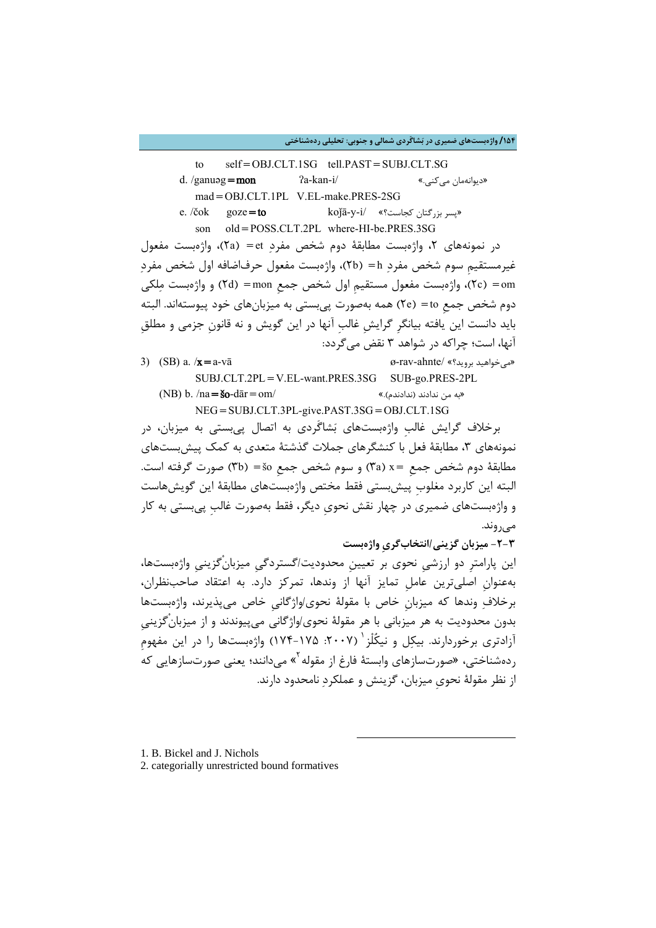**/154 واژهبستهاي ضمیري در بشاگَردي شمالی و جنوبی: تحلیلی ردهشناختی**

to self=OBJ.CLT.1SG tell.PAST=SUBJ.CLT.SG

- d. /ganuəg**=mon**  $2a$ -kan-i/  $\infty$ ...» mad=OBJ.CLT.1PL V.EL-make.PRES-2SG
- e. /čok goze=to koǰā-y-i/ «کجاست؟ بزرگتان پسر« son old=POSS.CLT.2PL where-HI-be.PRES.3SG

در نمونههاي ٢، واژهبست مطابقۀ دوم شخص مفرد et) =et)، واژهبست مفعول غیرمستقیمِ سوم شخص مفرد h) =b2(، واژهبست مفعول حرفاضافه اول شخص مفرد om) =c2(، واژهبست مفعول مستقیمِ اول شخص جمعِ mon) =d2 (و واژهبست ملکی دوم شخص جمعِ to) =e2 (همه بهصورت پیبستی به میزبانهاي خود پیوستهاند. البته باید دانست این یافته بیانگرِ گرایشِ غالبِ آنها در این گویش و نه قانونِ جزمی و مطلقِ آنها، است؛ چراکه در شواهد 3 نقض میگردد:

3) (SB) a.  $x = a-v\bar{a}$  (88)  $\alpha$  / $x = a-v\bar{a}$  (89-rav-ahnte/ «بی خواهید بروید»

SUBJ.CLT.2PL=V.EL-want.PRES.3SG SUB-go.PRES-2PL (NB) b. /na=šo-dār=om/ «.(ندادندم (ندادند من به« NEG=SUBJ.CLT.3PL-give.PAST.3SG=OBJ.CLT.1SG

برخلاف گرایش غالبِ واژهبستهاي بشاگَردي به اتصال پیبستی به میزبان، در نمونههاي ٣، مطابقۀ فعل با کنشگرهاي جملات گذشتۀ متعدي به کمک پیش بستهاي مطابقۀ دوم شخص جمعِ =x) a3 (و سوم شخص جمعِ šo) =b3 (صورت گرفته است. البته این کاربرد مغلوبِ پیشبستی فقط مختص واژهبستهاي مطابقۀ این گویشهاست و واژهبستهاي ضمیري در چهار نقش نحويِ دیگر، فقط بهصورت غالبِ پیبستی به کار میروند.

**-2-3 میزبان گزینی/انتخابگريِ واژهبست**

این پارامترِ دو ارزشیِ نحوي بر تعیینِ محدودیت/گستردگیِ میزبانْگزینیِ واژهبستها، بهعنوانِ اصلیترین عاملِ تمایز آنها از وندها، تمرکز دارد. به اعتقاد صاحبنظران، برخلاف وندها که میزبانِ خاص با مقولۀ نحوي/واژگانیِ خاص میپذیرند، واژهبستها بدون محدودیت به هر میزبانی با هر مقولۀ نحوي/واژگانی میپیوندند و از میزبانْگزینیِ آزادتری برخوردارند. بیکِل و نیکُلْز ' (۲۰۰۷: ۱۷۵–۱۷۴) واژهبستها را در این مفهوم ردهشناختی، «صورتسازهای وابستهٔ فارغ از مقوله <sup>۲</sup>» میدانند؛ یعنی صورتسازهایی که از نظر مقولۀ نحويِ میزبان، گزینش و عملکرد نامحدود دارند.

-

- <span id="page-9-0"></span>1. B. Bickel and J. Nichols
- <span id="page-9-1"></span>2. categorially unrestricted bound formatives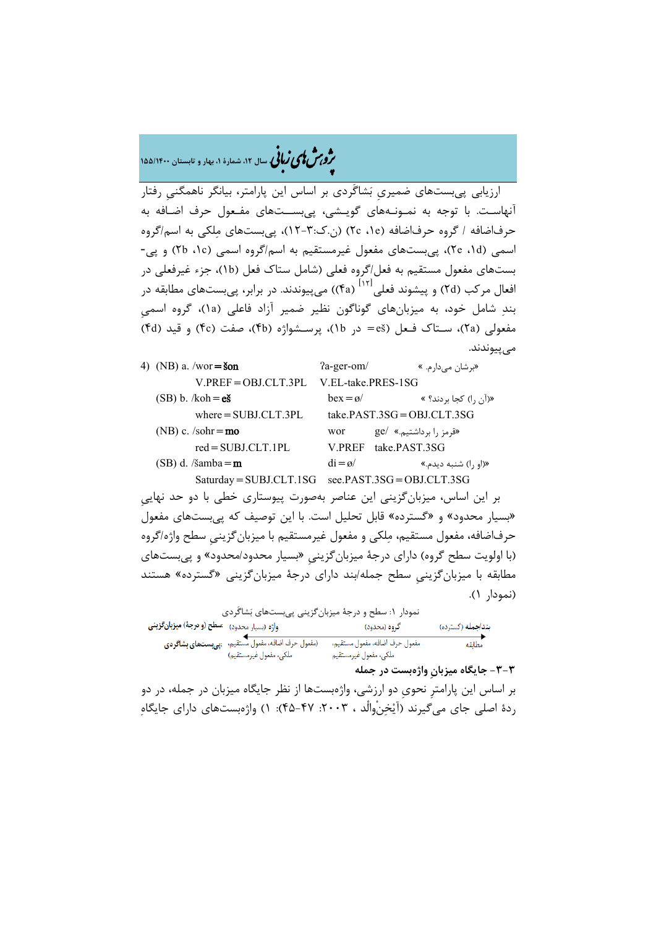# �ی زبا **، سال ،12 شمارة ،1 بهار و تابستان 155/1400** � �و ی �ش

ارزیابی پیبستهاي ضمیريِ بشاگَردي بر اساس این پارامتر، بیانگر ناهمگنیِ رفتار آنهاسـت. با توجه به نمـونـههاي گویـشی، پیبســتهاي مفـعول حرف اضـافه به حرفاضافه / گروه حرفاضافه (e،1 c2) (ن.ك12-3:)، پیبستهاي ملکی به اسم/گروه اسمی (d،1 e2(، پیبستهاي مفعول غیرمستقیم به اسم/گروه اسمی (c،1 b2 (و پی- بستهاي مفعول مستقیم به فعل/گروه فعلی (شامل ستاك فعل (b1(، جزء غیرفعلی در افعال مرکب (۲d) و پیشوند فعلی<sup>۱۱۲۱</sup> (۴a)) میپیوندند. در برابر، پیبستهای مطابقه در بند شامل خود، به میزبانهاي گوناگون نظیر ضمیر آزاد فاعلی (a1(، گروه اسمیِ مفعولی (۲۵)، سـتاک فـعل (eš = در b)، پرسـشواژه (fb)، صفت (fc) و قید (fd) میپیوندند.

| 4) (NB) a. /wor= $\delta$ on       | $2a$ -ger-om/      | «بر شان مے دار م. »            |
|------------------------------------|--------------------|--------------------------------|
| $V.PREF = OBJ.CLT.3PL$             | V.EL-take.PRES-1SG |                                |
| $(SB) b. / koh = eS$               | $hex = \alpha/$    | «(أن ,ا) كجا بردند؟ »          |
| $where = SUBJ.CLT.3PL$             |                    | take. $PAST.3SG = OBI.CLT.3SG$ |
| (NB) c. $/\text{sohr} = \text{mo}$ | wor                | «قرمز , ابر داشتیم.» /ge       |
| $red = SUBJ.CLT.IPL$               | <b>V PREF</b>      | take PAST 3SG                  |
| $(SB)$ d. /s̃amba = m              | $di = \alpha/$     | «(او را) شنبه ديدم.»           |

 $Saturdav = SUBLCLT.1SG$  see.PAST.3SG = OBLCLT.3SG بر این اساس، میزبانگزینی این عناصر بهصورت پیوستاري خطی با دو حد نهاییِ «بسیار محدود» و «گسترده» قابل تحلیل است. با این توصیف که پیبستهاي مفعول حرفاضافه، مفعول مستقیم، ملکی و مفعول غیرمستقیم با میزبانگزینیِ سطح واژه/گروه (با اولویت سطح گروه) داراي درجۀ میزبانگزینیِ «بسیار محدود/محدود» و پیبستهاي مطابقه با میزبانگزینیِ سطح جمله/بند داراي درجۀ میزبانگزینی «گسترده» هستند (نمودار 1).

| نمودار ۱: سطح و درجهٔ میزبان گزینی پی بستهای بَشاگَردی         |                                                                              |                                                         |                  |
|----------------------------------------------------------------|------------------------------------------------------------------------------|---------------------------------------------------------|------------------|
| واژه (بسیار محدود)۔ ا <b>سطح (و درجهٔ) میزبان <i>گ</i>زینی</b> |                                                                              | گروه (محدود)                                            | نداجمله (گسترده) |
|                                                                | (مفعول حرف اضافه، مفعول مستقيم، بهي بستهاى بشاكردى<br>ملكى، مفعول غيرمستقيم) | مفعول حرف اضافه، مفعول مستقيم،<br>ملكى، مفعول غيرمستقيم | مطابقه           |

**-3-3 جایگاه میزبانِ واژهبست در جمله**

بر اساس این پارامترِ نحويِ دو ارزشی، واژهبستها از نظر جایگاه میزبان در جمله، در دو ردهٔ اصلی جای می گیرند (آیْخنْوالْد ، ۲۰۰۳: ۴۷-۴۵): ۱) واژهبستهای دارای جایگاه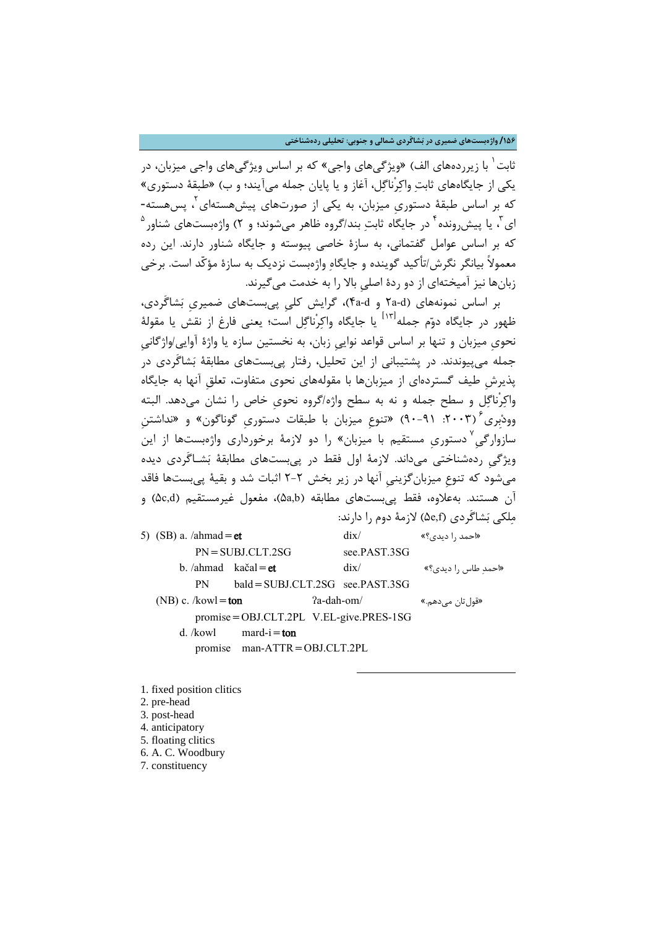**/156 واژهبستهاي ضمیري در بشاگَردي شمالی و جنوبی: تحلیلی ردهشناختی**

[1](#page-11-0) ثابت با زیرردههاي الف) «ویژگیهاي واجی» که بر اساس ویژگیهاي واجی میزبان، در یکی از جایگاههاي ثابت واکرْناگل، آغاز و یا پایان جمله میآیند؛ و ب) «طبقۀ دستوري» که بر اساس طبقۀ دستوري میزبان، به یکی از صورتهاي پیشهستهاي ٌ، پسهسته- $^{\circ}$ ی  $^{\prime}$  یا پیش $_{\rm c}$ ونده $^{\rm r}$  در جایگاه ثابتِ بند/گروه ظاهر میشوند؛ و ۲) واژهبستهای شناور که بر اساس عوامل گفتمانی، به سازة خاصی پیوسته و جایگاه شناور دارند. این رده معمولاً بیانگر نگرش/تأکید گوینده و جایگاه واژهبست نزدیک به سازة مؤکّد است. برخی زبانها نیز آمیختهاي از دو ردة اصلیِ بالا را به خدمت میگیرند.

بر اساس نمونههاي (d-a2 و d-a4(، گرایش کلیِ پیبستهاي ضمیريِ بشاگَردي، طهور در جایگاه دوّم جمله $^{\rm{[11]}}$ یا جایگاه واکرْناگل است؛ یعنی فارغ از نقش یا مقولۀ نحويِ میزبان و تنها بر اساس قواعد نواییِ زبان، به نخستین سازه یا واژة آوایی/واژگانیِ جمله میپیوندند. در پشتیبانی از این تحلیل، رفتار پیبستهاي مطابقۀ بشاگَردي در پذیرشِ طیف گستردهاي از میزبانها با مقولههاي نحوي متفاوت، تعلقِ آنها به جایگاه واکرْناگل و سطح جمله و نه به سطح واژه/گروه نحويِ خاص را نشان میدهد. البته (:2003 90-91) «تنوعِ میزبان با طبقات دستوريِ گوناگون» و «نداشتنِ [6](#page-11-5) وودبِري سازوارگیِ `دستوریِ مستقیم با میزبان» را دو لازمۀ برخورداری واژهبستها از این ویژگیِ ردهشناختی میداند. لازمۀ اول فقط در پیبستهاي مطابقۀ بشـاگَردي دیده میشود که تنوعِ میزبانگزینیِ آنها در زیر بخش 2-2 اثبات شد و بقیۀ پیبستها فاقد آن هستند. بهعلاوه، فقط پیبستهای مطابقه (۵a,b)، مفعول غیرمستقیم (۵c,d) و ملکی بشاگَردي (f,e5 (لازمۀ دوم را دارند:

5) (SB) a. /ahmad = et dix/  $\text{div}$  (see extending the dist PN=SUBJ.CLT.2SG see.PAST.3SG b. /ahmad kačal=et dix/  $\text{d}x$ /  $\text{d}x$ /  $\text{d}x$ /  $\text{d}x$ /  $\text{d}x$ /  $\text{d}x$ /  $\text{d}x$ /  $\text{d}x$ /  $\text{d}x$ /  $\text{d}x$ /  $\text{d}x$ /  $\text{d}x$ /  $\text{d}x$ /  $\text{d}x$ /  $\text{d}x$ /  $\text{d}x$ /  $\text{d}x$ /  $\text{d}x$ /  $\text{d}x$ /  $\text{d}$ PN bald=SUBJ.CLT.2SG see.PAST.3SG (NB) c. /kowl=**ton**  $2a$ -dah-om/ **(NB) c.** /kowl=ton  $\alpha$ promise=OBJ.CLT.2PL V.EL-give.PRES-1SG d. /kowl mard-i=ton promise man-ATTR=OBJ.CLT.2PL

-

<span id="page-11-0"></span>1. fixed position clitics

- <span id="page-11-1"></span>2. pre-head
- <span id="page-11-2"></span>3. post-head
- <span id="page-11-3"></span>4. anticipatory
- <span id="page-11-4"></span>5. floating clitics
- <span id="page-11-5"></span>6. A. C. Woodbury
- <span id="page-11-6"></span>7. constituency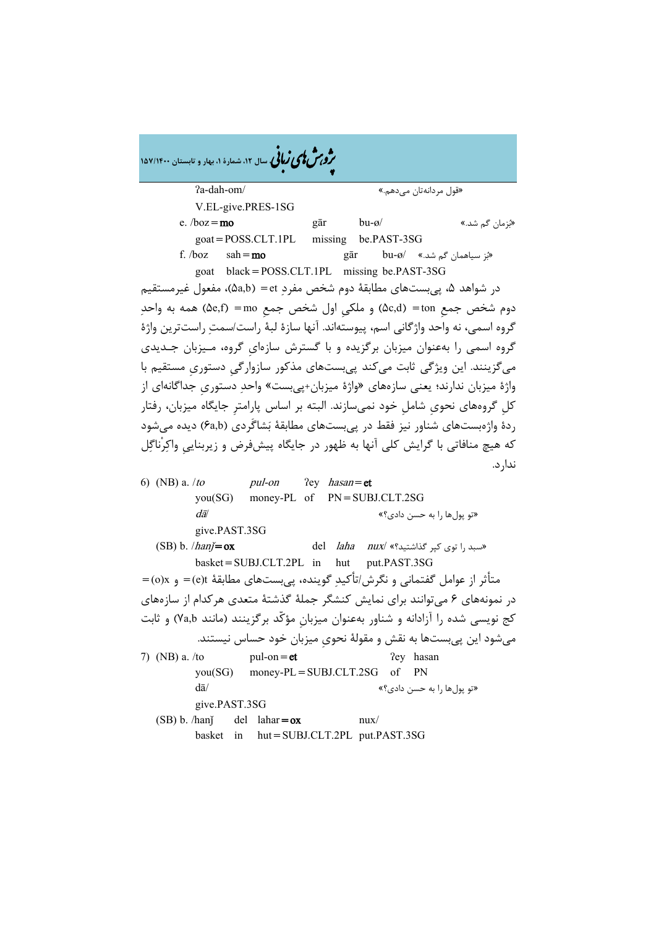| مرد مش کامی نمالی سال ۱۲، شمارهٔ ۱، بهار و تابستان ۱۵۷/۱۴۰۰                                                                 |
|-----------------------------------------------------------------------------------------------------------------------------|
| ?a-dah-om/<br>«قول مردانەتان مىدھم.»                                                                                        |
| V.EL-give.PRES-1SG                                                                                                          |
| $g\bar{a}r$ bu- $\omega$ /<br>e. $/$ boz = mo<br>«بزمان گم شد.»                                                             |
| $\text{goat} = \text{POSS.CLT.IPL}$ missing be.PAST-3SG                                                                     |
| f. <i>/boz</i> $\operatorname{sah} = \text{mo}$<br>gār bu-ø/ «بَز سیاهمان گم شد.» $\sin$                                    |
| goat black=POSS.CLT.1PL missing be.PAST-3SG                                                                                 |
| در شواهد ۵، پیِبستهای مطابقهٔ دوم شخص مفردِ et = (۵a,b)، مفعول غیرمستقیم                                                    |
| دوم شخص جمع (۵c,d) =ton) و ملکي اول شخص جمع (۵e,f) =mo) همه به واحدِ                                                        |
| گروه اسمی، نه واحد واژگانی اسم، پیوستهاند. آنها سازهٔ لبهٔ راست/سمتِ راستترین واژهٔ                                         |
| گروه اسمی را بهعنوان میزبان برگزیده و با گسترش سازهایِ گروه، مـیزبان جـدیدی                                                 |
| میگزینند. این ویژگی ثابت میکند پیبستهای مذکور سازوارگیِ دستوریِ مستقیم با                                                   |
| واژهٔ میزبان ندارند؛ یعنی سازههای «واژهٔ میزبان+پیبست» واحدِ دستوریِ جداگانهای از                                           |
| کلِ گروههای نحویِ شاملِ خود نمیسازند. البته بر اساس پارامترِ جایگاه میزبان، رفتار                                           |
| ردهٔ واژەبستھای شناور نیز فقط در پیبستھای مطابقهٔ بَشاگَردی (۶a,b) دیده میشود                                               |
| که هیچ منافاتی با گرایش کلی آنها به ظهور در جایگاه پیشفرض و زیربنایی واکِرناگِل                                             |
| ندار د.                                                                                                                     |
| 6) (NB) a. /to $pul-on$ ?ey hasan=et                                                                                        |
| you(SG) money-PL of PN=SUBJ.CLT.2SG                                                                                         |
| dā/<br>«تو پولها را به حسن دادي؟»                                                                                           |
| give.PAST.3SG                                                                                                               |
| del <i>laha nux</i> / «بسبد را توى كپر گذاشتيد؟» /del <i>laha</i><br>$(SB) b. /han \neq \mathbf{ox}$                        |
| basket=SUBJ.CLT.2PL in hut put.PAST.3SG                                                                                     |
| متأثر از عوامل گفتمانی و نگرش/تأکیدِ گوینده، پیِبستهای مطابقهٔ e)t= و o)x) = (e)                                            |
| در نمونههای ۶ میتوانند برای نمایش کنشگر جملهٔ گذشتهٔ متعدی هرکدام از سازههای                                                |
| کج نویسی شده را آزادانه و شناور بهعنوان میزبان مؤکّد برگزینند (مانند Ya,b) و ثابت                                           |
| میشود این پیبستها به نقش و مقولهٔ نحویِ میزبان خود حساس نیستند.                                                             |
| 7) (NB) a. /to<br>?ey hasan<br>$pul-on = et$                                                                                |
| of PN<br>$money-PL = SUBJ.CLT.2SG$<br>you(SG)                                                                               |
| $d\bar{a}$<br>«تو پولها را به حسن دادي؟»                                                                                    |
| give.PAST.3SG                                                                                                               |
|                                                                                                                             |
| (SB) b. /hanj<br>$del$ lahar= $ox$<br>$\frac{nu}{\sqrt{2}}$<br>$\text{hut} = \text{SUBJ.CLT.2PL}$ put.PAST.3SG<br>basket in |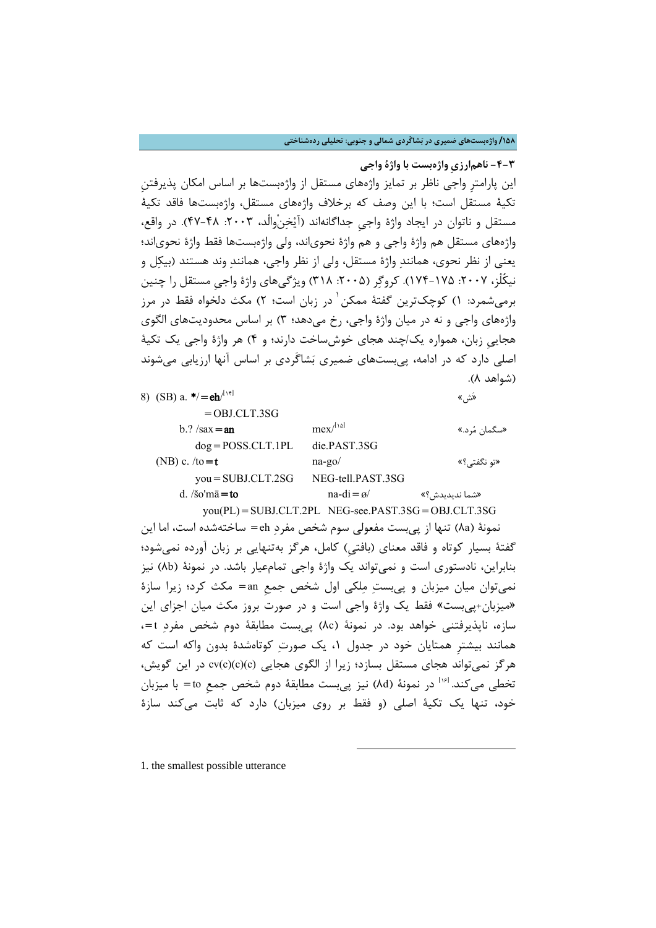**/158 واژهبستهاي ضمیري در بشاگَردي شمالی و جنوبی: تحلیلی ردهشناختی**

**-4-3 ناهمارزيِ واژهبست با واژة واجی** این پارامترِ واجی ناظر بر تمایز واژههاي مستقل از واژهبستها بر اساس امکان پذیرفتنِ تکیۀ مستقل است؛ با این وصف که برخلاف واژههاي مستقل، واژهبستها فاقد تکیۀ مستقل و ناتوان در ایجاد واژة واجیِ جداگانهاند (آیخنْوالْد، :2003 47-48). در واقع، واژههاي مستقل هم واژة واجی و هم واژة نحوياند، ولی واژهبستها فقط واژة نحوياند؛ یعنی از نظر نحوي، همانند واژة مستقل، ولی از نظر واجی، همانند وند هستند (بیکل و نیکُلْز، ۲۰۰۷: ۱۷۵۵-۱۷۴). کروگِر (۲۰۰۵: ۳۱۸) ویژگیهای واژهٔ واجی مستقل را چنین برمیشمرد: ۱) کوچکترین گفتهٔ ممکن <sup>۱</sup> در زبان است؛ ۲) مکث دلخواه فقط در مرز واژههاي واجی و نه در میان واژة واجی، رخ میدهد؛ 3) بر اساس محدودیتهاي الگوي هجاییِ زبان، همواره یک/چند هجاي خوشساخت دارند؛ و 4) هر واژة واجی یک تکیۀ اصلی دارد که در ادامه، پیبستهاي ضمیري بشاگَردي بر اساس آنها ارزیابی میشوند (شواهد 8).

| 8) (SB) a. $\star/ = e h^{[\text{inf}]}$ |                                                           | «ئش»           |
|------------------------------------------|-----------------------------------------------------------|----------------|
| $=$ OBJ.CLT.3SG                          |                                                           |                |
| $b$ .? /sax = an                         | $mex^{[1\omega]}$                                         | «سگمان مُرد.»  |
| $dog = POSS.CLT.IPL$                     | die.PAST.3SG                                              |                |
| (NB) c. $/to=t$                          | $na-go/$                                                  | «تو نگفتے ؟»   |
| $you = SUBJ.CLT.2SG$                     | NEG-tell.PAST.3SG                                         |                |
| $d.$ /so'm $\bar{a}$ = to                | $na-di = \emptyset$                                       | «شما ندیدیدش؟» |
|                                          | $vou(PL) = SUBJ.CLT.2PL \nNEG-see.PAST.3SG = OBJ.CLT.3SG$ |                |

نمونۀ (a8 (تنها از پیبست مفعولی سوم شخص مفرد eh =ساختهشده است، اما این گفتۀ بسیار کوتاه و فاقد معناي (بافتیِ) کامل، هرگز بهتنهایی بر زبان آورده نمیشود؛ بنابراین، نادستوري است و نمیتواند یک واژة واجی تمامعیار باشد. در نمونۀ (b8 (نیز نمیتوان میان میزبان و پیبست ملکی اول شخص جمعِ an =مکث کرد؛ زیرا سازة «میزبان+پیبست» فقط یک واژة واجی است و در صورت بروز مکث میان اجزاي این سازه، ناپذیرفتنی خواهد بود. در نمونۀ (c8 (پیبست مطابقۀ دوم شخص مفرد t=، همانند بیشترِ همتایان خود در جدول ،1 یک صورت کوتاهشدة بدون واکه است که هرگز نمیتواند هجاي مستقل بسازد؛ زیرا از الگوي هجایی (c)(c)(c(cv در این گویش، تخطی میکند. <sup>[۱۶]</sup> در نمونۀ (۸d) نیز پی ست مطابقۀ دوم شخص جمع to = با میزبان خود، تنها یک تکیۀ اصلی (و فقط بر روي میزبان) دارد که ثابت میکند سازة

-

<span id="page-13-0"></span>1. the smallest possible utterance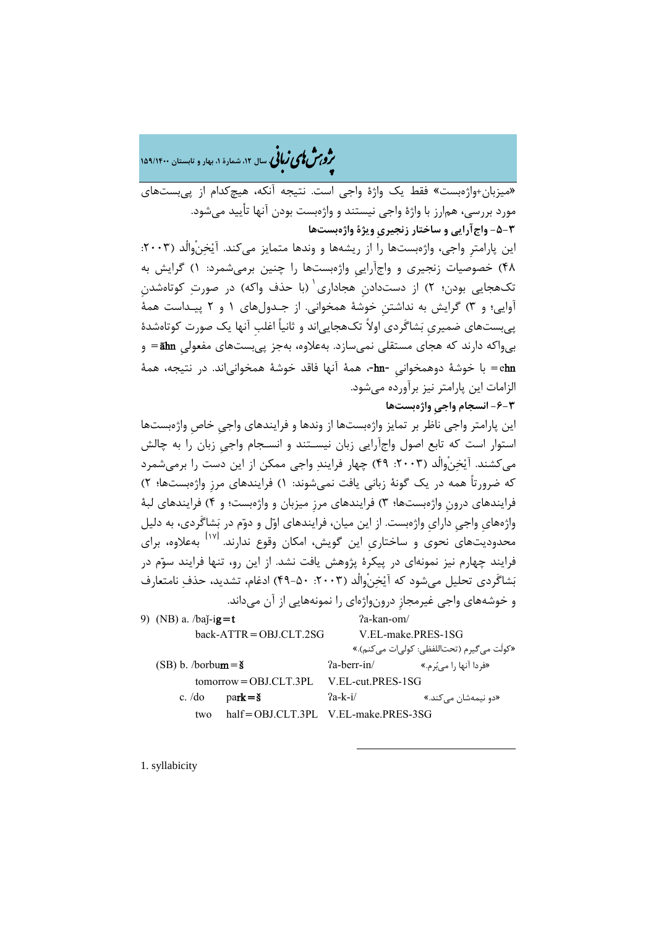�ی زبا **، سال ،12 شمارة ،1 بهار و تابستان 159/1400** � �و ی �ش

«میزبان+واژهبست» فقط یک واژة واجی است. نتیجه آنکه، هیچکدام از پیبستهاي مورد بررسی، همارز با واژة واجی نیستند و واژهبست بودن آنها تأیید میشود. **-5-3 واجآرایی و ساختار زنجیريِ ویژة واژهبستها** این پارامترِ واجی، واژهبستها را از ریشهها و وندها متمایز میکند. آیْخنْوالْد (۲۰۰۳: 48) خصوصیات زنجیري و واجآراییِ واژهبستها را چنین برمیشمرد: 1) گرایش به تکهجایی بودن؛ ۲) از دستدادن هجاداری ٰ (با حذف واکه) در صورتِ کوتاهشدن آوایی؛ و 3) گرایش به نداشتنِ خوشۀ همخوانی. از جـدولهاي 1 و 2 پیـداست همۀ پیبستهاي ضمیريِ بشاگَردي اولاً تکهجاییاند و ثانیاً اغلبِ آنها یک صورت کوتاهشدة بیواکه دارند که هجاي مستقلی نمیسازد. بهعلاوه، بهجز پیبستهاي مفعولیِ āhn =و ehn =با خوشۀ دوهمخوانیِ -hn،- همۀ آنها فاقد خوشۀ همخوانیاند. در نتیجه، همۀ الزامات این پارامتر نیز برآورده میشود. **-6-3 انسجام واجیِ واژهبستها** این پارامتر واجی ناظر بر تمایز واژهبستها از وندها و فرایندهاي واجیِ خاصِ واژهبستها استوار است که تابع اصول واجآرایی زبان نیسـتند و انسـجام واجیِ زبان را به چالش میکشند. آیخنْوالْد (:2003 49) چهار فرایند واجی ممکن از این دست را برمیشمرد که ضرورتاً همه در یک گونۀ زبانی یافت نمیشوند: 1) فرایندهاي مرزِ واژهبستها؛ 2) فرایندهاي درونِ واژهبستها؛ 3) فرایندهاي مرزِ میزبان و واژهبست؛ و 4) فرایندهاي لبۀ واژههايِ واجیِ دارايِ واژهبست. از این میان، فرایندهاي اول و دوم در بشاگَردي، به دلیل محدودیتهای نحوی و ساختاری این گویش، امکان وقوع ندارند. <sup>[۱۷]</sup> بهعلاوه، برای فرایند چهارم نیز نمونهاي در پیکرة پژوهش یافت نشد. از این رو، تنها فرایند سوم در بَشاگَردي تحليل می شود که آيْخنْ والْد (٢٠٠٣: ۵٠-۴۹) ادغام، تشدید، حذف نامتعارف و خوشههاي واجی غیرمجازِ درونواژهاي را نمونههایی از آن میداند. 9) (NB) a.  $/ba$ <sup>-</sup>ig=t  $2a$ -kan-om/ back-ATTR=OBJ.CLT.2SG V.EL-make.PRES-1SG «کولَت میگیرم (تحتاللفظی: کولیات میکنم).» (SB) b. /borbu**m = š**  $2a-berr-in/$  (SB)  $\frac{1}{2}$ ext (SB)  $\frac{1}{2}$  (SB)  $\frac{1}{2}$ tomorrow=OBJ.CLT.3PL V.EL-cut.PRES-1SG c. /do park=š ʔa-k-i/ «.میکند نیمهشان دو« two half=OBJ.CLT.3PL V.EL-make.PRES-3SG

-

<span id="page-14-0"></span>1. syllabicity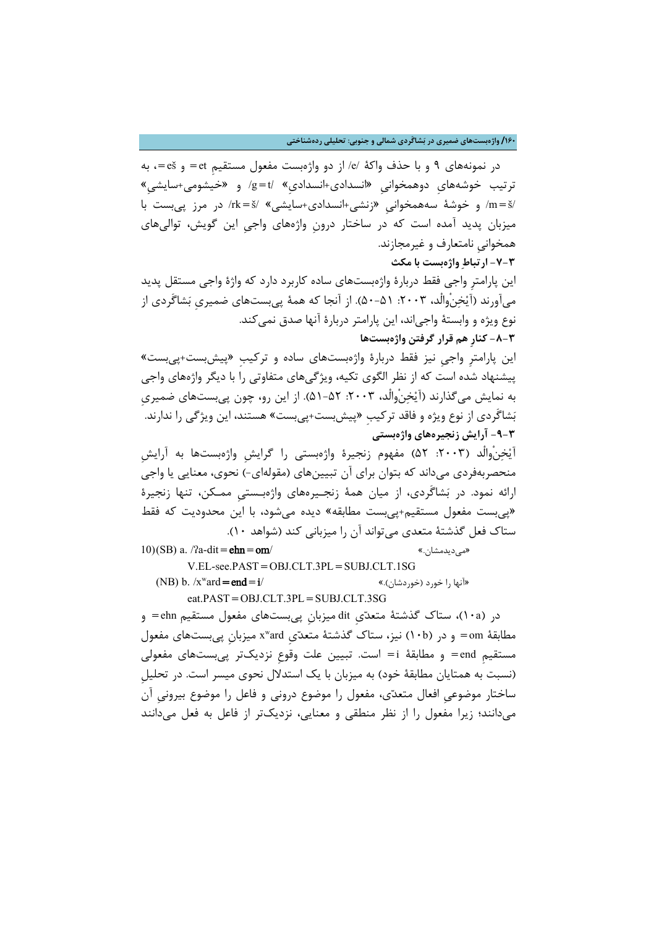### **/160 واژهبستهاي ضمیري در بشاگَردي شمالی و جنوبی: تحلیلی ردهشناختی**

**-7-3 ارتباط واژهبست با مکث**

در نمونههاي 9 و با حذف واکۀ /e/ از دو واژهبست مفعول مستقیمِ et =و eš=، به ترتیب خوشههايِ دوهمخوانیِ «انسدادي+انسداديِ» /t=g/ و «خیشومی+سایشیِ» /š=m/ و خوشۀ سههمخوانیِ «زنشی+انسدادي+سایشی» /š=rk/ در مرز پیبست با میزبان پدید آمده است که در ساختار درونِ واژههاي واجیِ این گویش، توالیهاي همخوانیِ نامتعارف و غیرمجازند.

این پارامترِ واجی فقط دربارة واژهبستهاي ساده کاربرد دارد که واژة واجی مستقل پدید میآورند (آیْخِنْوالْد، ۲۰۰۳: ۵۱-۵۰). از آنجا که همۀ پیٖبستهاي ضمیري بَشاگَردي از نوع ویژه و وابستۀ واجیاند، این پارامتر دربارة آنها صدق نمیکند. **-8-3 کنارِ هم قرار گرفتن واژهبستها**

این پارامترِ واجیِ نیز فقط دربارة واژهبستهاي ساده و ترکیبِ «پیشبست+پیبست» پیشنهاد شده است که از نظر الگوي تکیه، ویژگیهاي متفاوتی را با دیگر واژههاي واجی به نمایش میگذارند (آیخنْوالْد، :2003 51-52). از این رو، چون پیبستهاي ضمیريِ بشاگَردي از نوع ویژه و فاقد ترکیبِ «پیشبست+پیبست» هستند، این ویژگی را ندارند. **-9-3 آرایش زنجیرههاي واژهبستی**

آیْخِنْوالْد (۲۰۰۳: ۵۲) مفهوم زنجیرهٔ واژهبستی را گرایش واژهبستها به آرایش منحصربهفردي میداند که بتوان براي آن تبیینهاي (مقولهاي-) نحوي، معنایی یا واجی ارائه نمود. در بشاگَردي، از میان همۀ زنجـیرههاي واژهبـستیِ ممـکن، تنها زنجیرة «پیبست مفعول مستقیم+پیبست مطابقه» دیده میشود، با این محدودیت که فقط ستاك فعل گذشتۀ متعدي میتواند آن را میزبانی کند (شواهد 10).

10)(SB) a. /ʔa-dit=**ehn = om**/ «می دیدمشان.» **(SB) a** 

V.EL-see.PAST=OBJ.CLT.3PL=SUBJ.CLT.1SG

(NB) b. /xʷard=end=i/ «آنها را خورد (خوردشان).»  $\star$  (SI) eat.PAST=OBJ.CLT.3PL=SUBJ.CLT.3SG

در (a10(، ستاك گذشتۀ متعديِ dit میزبانِ پیبستهاي مفعول مستقیمِ ehn =و مطابقۀ om = و در (l·b) نيز، ستاک گذشتۀ متعدّى xʷard ميزبان پي بستهاي مفعول مستقیمِ end =و مطابقۀ i =است. تبیین علت وقوعِ نزدیکتر پیبستهاي مفعولی (نسبت به همتایان مطابقۀ خود) به میزبان با یک استدلال نحوي میسر است. در تحلیلِ ساختار موضوعیِ افعال متعدي، مفعول را موضوع درونی و فاعل را موضوع بیرونیِ آن میدانند؛ زیرا مفعول را از نظر منطقی و معنایی، نزدیکتر از فاعل به فعل میدانند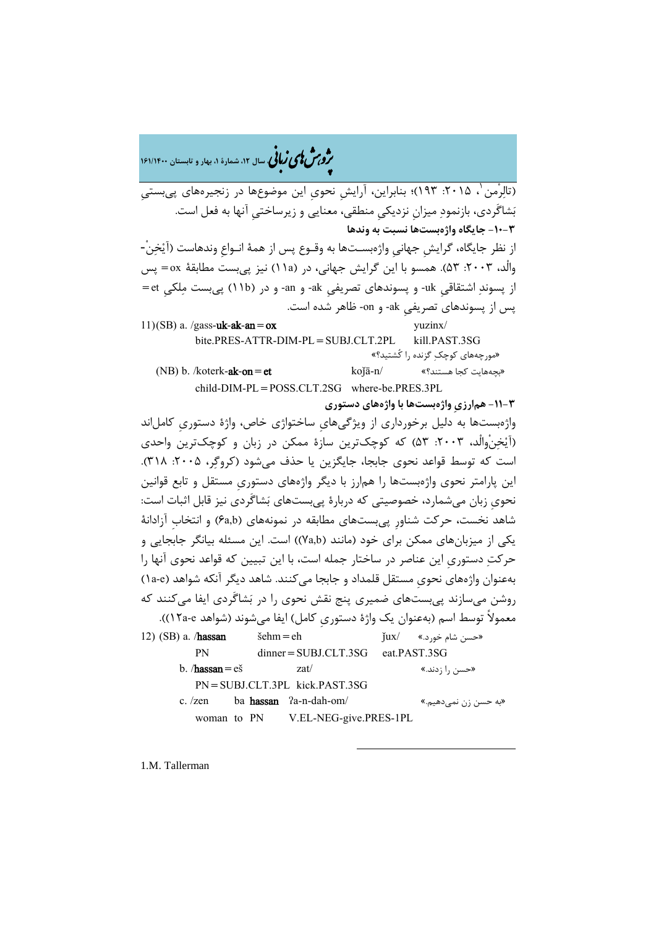�ی زبا **، سال ،12 شمارة ،1 بهار و تابستان 161/1400** � �و ی �ش

(تالِرْمن ٰ، ۲۰۱۵: ۱۹۳)؛ بنابراین، آرایش نحوی این موضوعها در زنجیرههای پیبستی بشاگَردي، بازنمود میزانِ نزدیکیِ منطقی، معنایی و زیرساختیِ آنها به فعل است. **-10-3 جایگاه واژهبستها نسبت به وندها** [از](#page-16-0) نظر جایگاه، گرایشِ جهانیِ واژهبسـتها به وقـوع پس از همۀ انـواعِ وندهاست (آیخن-ْ والْد، ٢٠٠٣: ۵۳). همسو با این گرایش جهانی، در (١١a) نیز پی بست مطابقۀ ox = پس از پسوند اشتقاقیِ uk- و پسوندهاي تصریفیِ ak- و an- و در (b11 (پیبست ملکیِ et= پس از پسوندهاي تصریفیِ ak- و on- ظاهر شده است.  $11)(SB)$  a. /gass-**uk-ak-an = ox** yuzinx/ bite.PRES-ATTR-DIM-PL=SUBJ.CLT.2PL kill.PAST.3SG «مورچههاي کوچک گزنده را کُشتید؟» (NB) b. /koterk-**ak-on=et**  $k$ o $j$ ā-n/  $k$ o $j$ ā-n/  $k$ s-se $k$ هایت کجا هستند؟  $\phi$ child-DIM-PL=POSS.CLT.2SG where-be.PRES.3PL **-11-3 همارزيِ واژهبستها با واژههاي دستوري** واژهبستها به دلیل برخورداري از ویژگیهايِ ساختواژي خاص، واژة دستوريِ کاملاند (آیخنْوالْد، :2003 53) که کوچکترین سازة ممکن در زبان و کوچکترین واحدي است که توسط قواعد نحوی جابجا، جایگزین یا حذف می شود (کروگر، ۲۰۰۵: ۳۱۸). این پارامتر نحوي واژهبستها را همارز با دیگر واژههاي دستوريِ مستقل و تابع قوانین نحويِ زبان میشمارد، خصوصیتی که دربارة پیبستهاي بشاگَردي نیز قابل اثبات است: شاهد نخست، حرکت شناورِ پیبستهاي مطابقه در نمونههاي (b,a6 (و انتخابِ آزادانۀ یکی از میزبانهاي ممکن براي خود (مانند (b,a7 ((است. این مسئله بیانگر جابجایی و حرکت دستوريِ این عناصر در ساختار جمله است، با این تبیین که قواعد نحوي آنها را بهعنوان واژههاي نحويِ مستقل قلمداد و جابجا میکنند. شاهد دیگر آنکه شواهد (e-a1 ( روشن میسازند پیبستهاي ضمیري پنج نقش نحوي را در بشاگَردي ایفا میکنند که معمولاً توسط اسم (بهعنوان یک واژة دستوريِ کامل) ایفا میشوند (شواهد e-a12((. 12) (SB) a. /**hassan**  $\varepsilon$ èhm=eh  $\varepsilon$ jux/ «خسن شام خورد» PN dinner=SUBJ.CLT.3SG eat.PAST.3SG b. / $hassan=e$ š zat/  $zat/$  (حسن را زدند.» PN=SUBJ.CLT.3PL kick.PAST.3SG c. /zen ba **hassan** ʔa-n-dah-om/ «به حسن زن نمیدهیم.» woman to PN V.EL-NEG-give.PRES-1PL

-

<span id="page-16-0"></span>1.M. Tallerman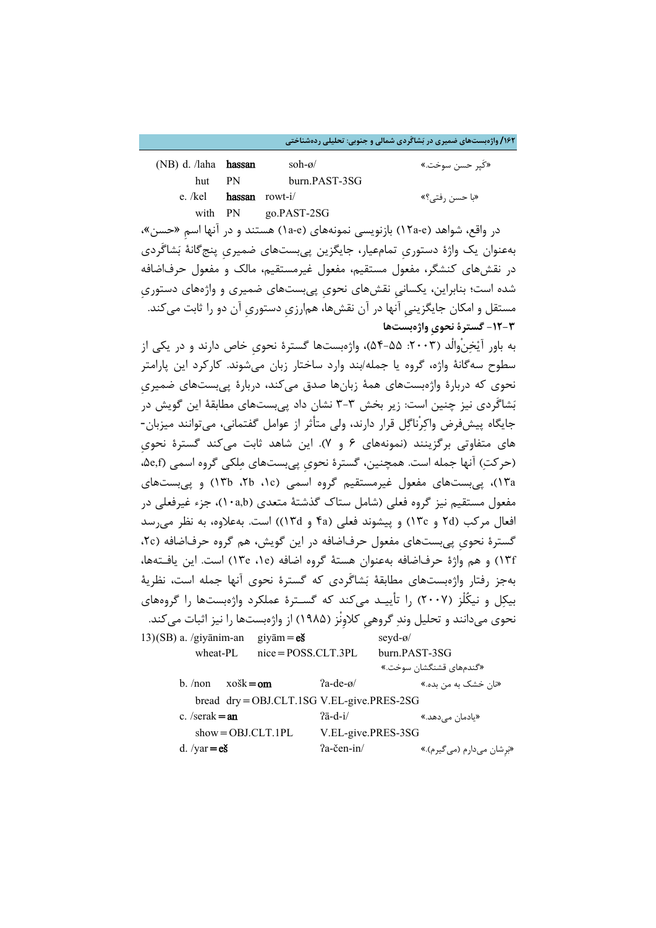**/162 واژهبستهاي ضمیري در بشاگَردي شمالی و جنوبی: تحلیلی ردهشناختی**

| (NB) d. /laha <b>hassan</b> |                | soh-ø $/$             | «کیر حسن سوخت.» |
|-----------------------------|----------------|-----------------------|-----------------|
|                             | hut PN         | burn.PAST-3SG         |                 |
| e. /kel                     | hassan rowt-i/ |                       | «با حسن رفتي؟»  |
|                             |                | with $PN$ go.PAST-2SG |                 |

در واقع، شواهد (e-a12 (بازنویسی نمونههاي (e-a1 (هستند و در آنها اسمِ «حسن»، بهعنوان یک واژة دستوريِ تمامعیار، جایگزین پیبستهاي ضمیريِ پنجگانۀ بشاگَردي در نقشهاي کنشگر، مفعول مستقیم، مفعول غیرمستقیم، مالک و مفعول حرفاضافه شده است؛ بنابراین، یکسانیِ نقشهاي نحويِ پیبستهاي ضمیري و واژههاي دستوريِ مستقل و امکان جایگزینیِ آنها در آن نقشها، همارزيِ دستوريِ آن دو را ثابت میکند. **-12-3 گسترة نحويِ واژهبستها**

به باور آیخنْوالْد (:2003 54-55)، واژهبستها گسترة نحويِ خاص دارند و در یکی از سطوح سهگانۀ واژه، گروه یا جمله/بند وارد ساختار زبان میشوند. کارکرد این پارامتر نحوي که دربارة واژهبستهاي همۀ زبانها صدق میکند، دربارة پیبستهاي ضمیريِ بشاگَردي نیز چنین است: زیر بخش 3-3 نشان داد پیبستهاي مطابقۀ این گویش در جایگاه پیشفرض واکرْناگل قرار دارند، ولی متأثر از عوامل گفتمانی، میتوانند میزبان- هاي متفاوتی برگزینند (نمونههاي 6 و 7). این شاهد ثابت میکند گسترة نحويِ (حرکت) آنها جمله است. همچنین، گسترهٔ نحوی پی بستهای ملکی گروه اسمی (۵e,f، a13(، پیبستهاي مفعول غیرمستقیم گروه اسمی (c،1 b،2 b13 (و پیبستهاي مفعول مستقیم نیز گروه فعلی (شامل ستاك گذشتۀ متعدي (b,a10(، جزء غیرفعلی در افعال مرکب (d2 و c13 (و پیشوند فعلی (a4 و d13 ((است. بهعلاوه، به نظر میرسد گسترة نحويِ پیبستهاي مفعول حرفاضافه در این گویش، هم گروه حرفاضافه (c،2 f13 (و هم واژة حرفاضافه بهعنوان هستۀ گروه اضافه (e،1 e13 (است. این یافـتهها، بهجز رفتار واژهبستهاي مطابقۀ بشاگَردي که گسترة نحوي آنها جمله است، نظریۀ بیکل و نیکُلْز (2007) را تأییـد میکند که گسـترة عملکرد واژهبستها را گروههاي نحوي میدانند و تحلیل وند گروهیِ کلاوِنْز (1985) از واژهبستها را نیز اثبات میکند. 13)(SB) a. /giyānim-an giyām= $e$ š seyd-ø/ wheat-PL nice=POSS.CLT.3PL burn.PAST-3SG «گندمهاي قشنگشان سوخت.» b. /non xošk=om ʔa-de-ø/ «.بده من به خشک نان«

| $bread$ $dry = OBJ.CLT.1SG V.EL-give.PRES-2SG$ |                     |                          |
|------------------------------------------------|---------------------|--------------------------|
| c. /serak $=$ an                               | $2\bar{a}$ -d-i $/$ | «یادمان مے ٖدھد.»        |
| $show = OBJ.CLT.1PL$                           | V.EL-give.PRES-3SG  |                          |
| d. / $var = eS$                                | $2a$ -čen-in/       | «برشان ميدارم (ميگيرم).» |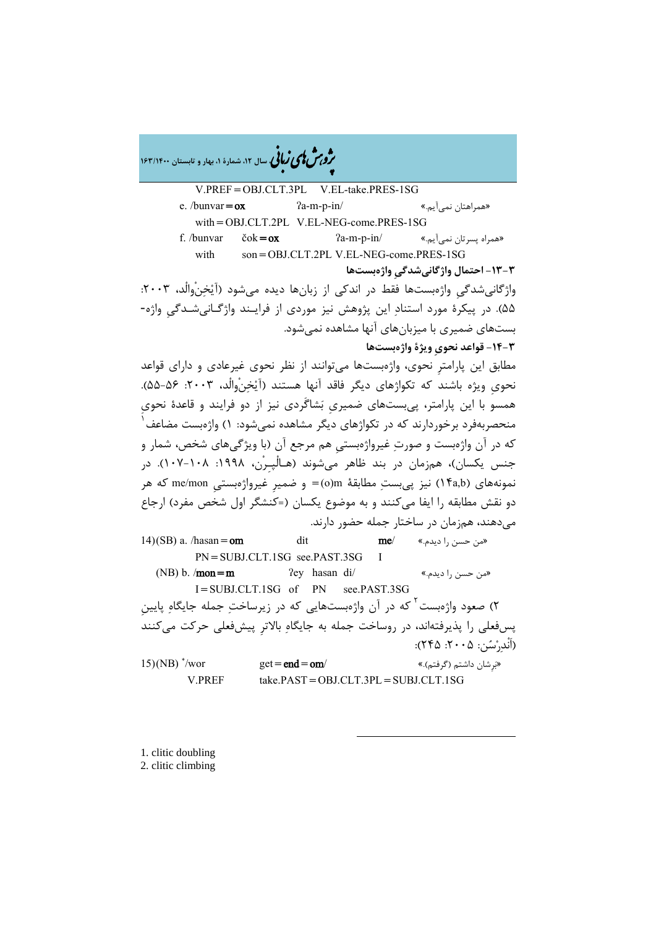�ی زبا **، سال ،12 شمارة ،1 بهار و تابستان 163/1400** � �و ی �ش

V.PREF=OBJ.CLT.3PL V.EL-take.PRES-1SG e. /bunvar=ox  $2a-m-p-in/$  (همراهتان نمیآیم) with=OBJ.CLT.2PL V.EL-NEG-come.PRES-1SG f. /bunvar čok=**ox**  $2a-m-p-in/$  «همراه پسرتان نمیآیم» with son=OBJ.CLT.2PL V.EL-NEG-come.PRES-1SG **-13-3 احتمال واژگانیشدگیِ واژهبستها** واژگانیشدگیِ واژهبستها فقط در اندکی از زبانها دیده میشود (آیْخِنْوالْد، ۲۰۰۳: 55). در پیکرة مورد استناد این پژوهش نیز موردي از فرایـند واژگـانیشـدگیِ واژه- بستهاي ضمیري با میزبانهاي آنها مشاهده نمیشود. **-14-3 قواعد نحويِ ویژة واژهبستها** مطابق این پارامترِ نحوي، واژهبستها میتوانند از نظر نحوي غیرعادي و داراي قواعد نحوي ویژه باشند که تکواژهاي دیگر فاقد آنها هستند (آیْخنْوالْد، ۲۰۰۳: ۵۶-۵۵). همسو با این پارامتر، پیبستهاي ضمیريِ بشاگَردي نیز از دو فرایند و قاعدة نحويِ منحصربهفرد برخوردارند که در تکواژهاي دیگر مشاهده نمیشود: 1) واژهبست مضاعف [1](#page-18-0) که در آن واژهبست و صورت غیرواژهبستیِ هم مرجع آن (با ویژگیهاي شخص، شمار و جنس یکسان)، همزمان در بند ظاهر میشوند (هـالْپـِرْن، :1998 107-108). در نمونههاي (b,a14 (نیز پیبست مطابقۀ m)o =(و ضمیرِ غیرواژهبستیِ mon/me که هر دو نقش مطابقه را ایفا میکنند و به موضوع یکسان (=کنشگر اول شخص مفرد) ارجاع میدهند، همزمان در ساختار جمله حضور دارند. 14)(SB) a. /hasan=om dit me/ «من حسن را دیدم.»  $\mathbf{me}$ / PN=SUBJ.CLT.1SG see.PAST.3SG (NB) b. /**mon=m**  $\text{e}^{\text{eq}}$  asan di/  $\text{e}^{\text{eq}}$  /assus di/  $\text{e}^{\text{eq}}$  /assus di/  $\text{e}^{\text{eq}}$  /assus di/  $\text{e}^{\text{eq}}$  /assus di/  $\text{e}^{\text{eq}}$  /assus di/  $\text{e}^{\text{eq}}$  /assus di/  $\text{e}^{\text{eq}}$  /assus di/  $\text{e$ I=SUBJ.CLT.1SG of PN see.PAST.3SG ۲) صعود واژهبست<sup>۲</sup> که در آن واژهبستهایی که در زیرساختِ جمله جایگاهِ پایینِ پسفعلی را پذیرفتهاند، در روساخت جمله به جایگاه بالاترِ پیشفعلی حرکت میکنند (اَنْدرسن: :2005 245):  $15)$ (NB)  $\sqrt[4]{}$ wor  $get = end = om/$  (گرفتم).»  $set = end = om/$ V.PREF take.PAST=OBJ.CLT.3PL=SUBJ.CLT.1SG

-

<span id="page-18-1"></span><span id="page-18-0"></span>1. clitic doubling 2. clitic climbing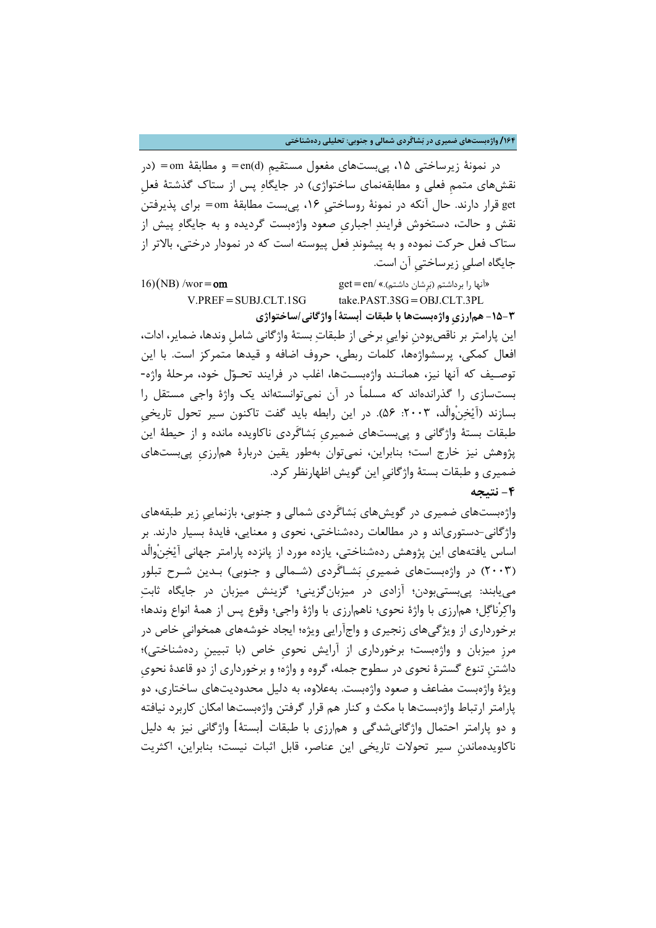**/164 واژهبستهاي ضمیري در بشاگَردي شمالی و جنوبی: تحلیلی ردهشناختی**

در نمونۀ زیرساختی ۱۵، پی بستهای مفعول مستقیم (en(d= و مطابقۀ om = (در نقشهاي متممِ فعلی و مطابقهنماي ساختواژي) در جایگاه پس از ستاك گذشتۀ فعلِ get قرار دارند. حال آنکه در نمونۀ روساختیِ ،16 پیبست مطابقۀ om =براي پذیرفتن نقش و حالت، دستخوش فرایند اجباريِ صعود واژهبست گردیده و به جایگاه پیش از ستاك فعل حرکت نموده و به پیشوند فعل پیوسته است که در نمودار درختی، بالاتر از جایگاه اصلیِ زیرساختیِ آن است.

16) «آنها را برداشتم (بَرِشان داشتم).» /get = en (هزانها را برداشتم).» /get = en V.PREF = SUBJ.CLT.1SG take.PAST.3SG = OBJ.CLT.3PL **-15-3 همارزيِ واژهبستها با طبقات [بستۀ] واژگانی/ساختواژي**

این پارامتر بر ناقصبودنِ نواییِ برخی از طبقات بستۀ واژگانی شاملِ وندها، ضمایر، ادات، افعال کمکی، پرسشواژهها، کلمات ربطی، حروف اضافه و قیدها متمرکز است. با این توصـیف که آنها نیز، همانـند واژهبسـتها، اغلب در فرایند تحـول خود، مرحلۀ واژه- بستسازي را گذراندهاند که مسلماً در آن نمیتوانستهاند یک واژة واجی مستقل را بسازند (آیْخِنْوالْد، ۲۰۰۳: ۵۶). در این رابطه باید گفت تاکنون سیر تحول تاریخی طبقات بستۀ واژگانی و پیبستهاي ضمیريِ بشاگَردي ناکاویده مانده و از حیطۀ این پژوهش نیز خارج است؛ بنابراین، نمیتوان بهطور یقین دربارة همارزيِ پیبستهاي ضمیري و طبقات بستۀ واژگانیِ این گویش اظهارنظر کرد.

**-4 نتیجه**

واژهبستهاي ضمیري در گویشهاي بشاگَردي شمالی و جنوبی، بازنماییِ زیر طبقههاي واژگانی-دستورياند و در مطالعات ردهشناختی، نحوي و معنایی، فایدة بسیار دارند. بر اساس یافتههاي این پژوهش ردهشناختی، یازده مورد از پانزده پارامتر جهانی آیخنْوالْد (2003) در واژهبستهاي ضمیريِ بشـاگَردي (شـمالی و جنوبی) بـدین شـرح تبلور مییابند: پیبستیبودن؛ آزادي در میزبانگزینی؛ گزینش میزبان در جایگاه ثابت واکرْناگل؛ همارزي با واژة نحوي؛ ناهمارزي با واژة واجی؛ وقوع پس از همۀ انواع وندها؛ برخورداري از ویژگیهاي زنجیري و واجآرایی ویژه؛ ایجاد خوشههاي همخوانیِ خاص در مرزِ میزبان و واژهبست؛ برخورداري از آرایش نحويِ خاص (با تبیینِ ردهشناختی)؛ داشتنِ تنوع گسترة نحوي در سطوح جمله، گروه و واژه؛ و برخورداري از دو قاعدة نحويِ ویژة واژهبست مضاعف و صعود واژهبست. بهعلاوه، به دلیل محدودیتهاي ساختاري، دو پارامتر ارتباط واژهبستها با مکث و کنار هم قرار گرفتن واژهبستها امکان کاربرد نیافته و دو پارامتر احتمال واژگانیشدگی و همارزي با طبقات [بستۀ] واژگانی نیز به دلیل ناکاویدهماندنِ سیر تحولات تاریخی این عناصر، قابل اثبات نیست؛ بنابراین، اکثریت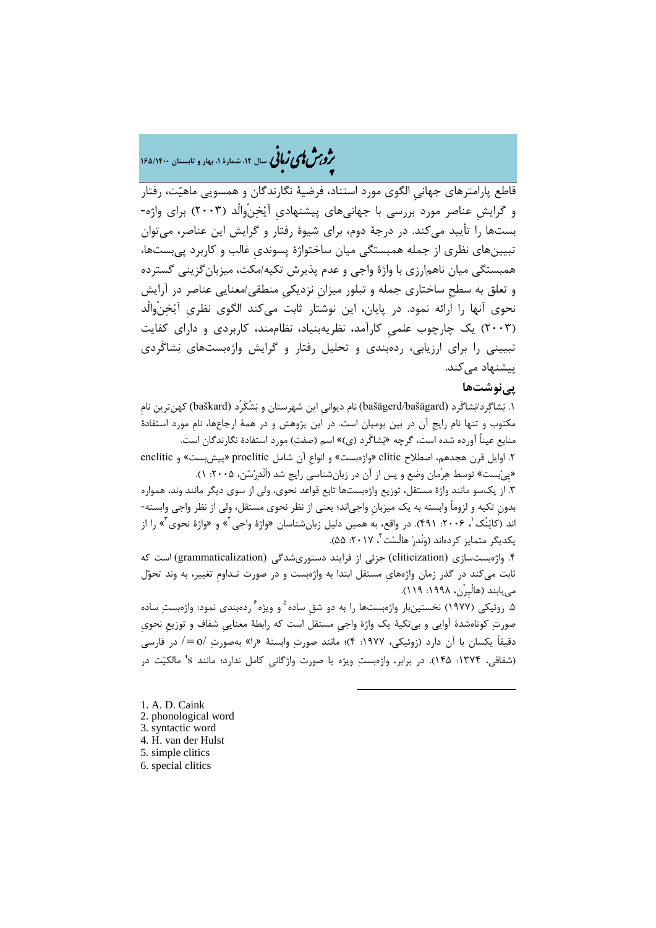# �ی زبا **، سال ،12 شمارة ،1 بهار و تابستان 165/1400** � �و ی �ش

قاطع پارامترهاي جهانیِ الگوي مورد استناد، فرضیۀ نگارندگان و همسویی ماهیت، رفتار و گرایشِ عناصر مورد بررسی با جهانیهاي پیشنهاديِ آیخنْوالْد (2003) براي واژه- بستها را تأیید میکند. در درجۀ دوم، براي شیوة رفتار و گرایش این عناصر، میتوان تبیینهاي نظري از جمله همبستگی میان ساختواژة پسونديِ غالب و کاربرد پیبستها، همبستگی میان ناهمارزي با واژة واجی و عدم پذیرش تکیه/مکث، میزبانگزینی گسترده و تعلق به سطحِ ساختاري جمله و تبلور میزانِ نزدیکیِ منطقی/معنایی عناصر در آرایش نحوي آنها را ارائه نمود. در پایان، این نوشتار ثابت میکند الگوي نظريِ آیخنْوالْد (2003) یک چارچوب علمیِ کارآمد، نظریهبنیاد، نظاممند، کاربردي و داراي کفایت تبیینی را براي ارزیابی، ردهبندي و تحلیل رفتار و گرایش واژهبستهاي بشاگَردي یپشنهاد مے کند.

## **پینوشتها**

.1 بشاگرد/بشاگَرد (bašāgard/bašāgerd (نام دیوانیِ این شهرستان و بشْکَرْد (baškard (کهنترین نامِ مکتوب و تنها نام رایجِ آن در بین بومیان است. در این پژوهش و در همۀ ارجاعها، نامِ مورد استفادة منابع عیناً آورده شده است، گرچه «بشاگَرد (ي)» اسم (صفت) مورد استفادهٔ نگارندگان است.

.2 اوایل قرن هجدهم، اصطلاح clitic» واژهبست» و انواعِ آن شامل proclitic» پیشبست» و enclitic «پِیبست» توسط هرْمان وضع و پس از آن در زبانشناسی رایج شد (اَنْدرسن، :2005 1).

.3 از یکسو مانند واژة مستقل، توزیع واژهبستها تابع قواعد نحوي، ولی از سوي دیگر مانند وند، همواره بدونِ تکیه و لزوماً وابسته به یک میزبانِ واجیاند؛ یعنی از نظر نحوي مستقل، ولی از نظر واجی وابسته- اند (کایْنْک <sup>۱</sup>، ۲۰۰۶: ۴۹۱). در واقع، به همین دلیل زبانشناسان «واژهٔ واجی <sup>۲</sup>» و «واژهٔ نحوی آ» را از ، :2017 55). [4](#page-20-3) یکدیگر متمایز کردهاند (ونْدر هالْست

.4 واژهبستسازي (cliticization (جزئی از فرایند دستوريشدگی (grammaticalization (است که ثابت میکند در گذر زمان واژههايِ مستقل ابتدا به واژهبست و در صورت تـداومِ تغییر، به وند تحول مییابند (هالْپِرْن، :1998 119).

۵. زوئیکی (۱۹۷۷) نخستینبار واژهبستها را به دو شق ساده<sup>۵</sup> و ویژه <sup>۶</sup> ردهبندی نمود: واژهبستِ ساده صورت کوتاهشدة آوایی و بیتکیۀ یک واژة واجیِ مستقل است که رابطۀ معناییِ شفاف و توزیعِ نحويِ دقیقاً یکسان با آن دارد (زوئیکی، :1977 4)؛ مانند صورت وابستۀ «را» بهصورت /o=/ در فارسی (شقاقی، :1374 145). در برابر، واژهبست ویژه یا صورت واژگانیِ کامل ندارد؛ مانند s 'مالکیت در

-

<span id="page-20-5"></span><span id="page-20-4"></span><span id="page-20-3"></span><span id="page-20-2"></span><span id="page-20-1"></span><span id="page-20-0"></span>1. A. D. Caink 2. phonological word 3. syntactic word 4. H. van der Hulst 5. simple clitics 6. special clitics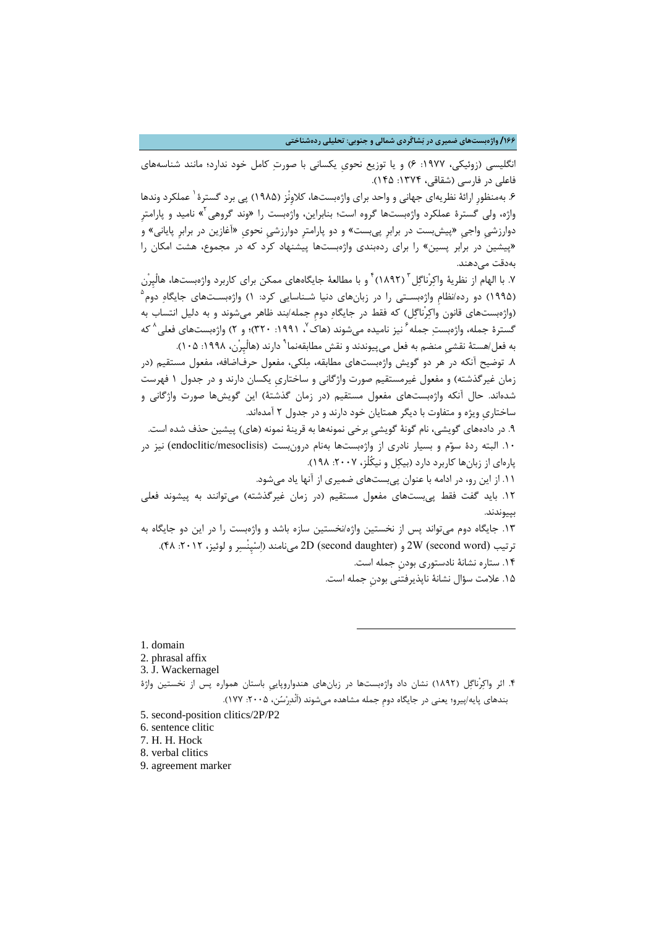## **/166 واژهبستهاي ضمیري در بشاگَردي شمالی و جنوبی: تحلیلی ردهشناختی**

انگلیسی (زوئیکی، :1977 6) و یا توزیع نحويِ یکسانی با صورت کامل خود ندارد؛ مانند شناسههاي فاعلی در فارسی (شقاقی، :1374 145).

۶. بهمنظورِ ارائۀ نظریهای جهانی و واحد برای واژهبستها، کلاوِنْز (۱۹۸۵) پی برد گسترهٔ <sup>۱</sup> عملکرد وندها واژه، ولی گسترهٔ عملکرد واژهبستها گروه است؛ بنابراین، واژهبست را «وند گروهی<sup>۲</sup>» نامید و پارامتر دوارزشیِ واجیِ «پیشبست در برابرِ پیبست» و دو پارامترِ دوارزشیِ نحويِ «آغازین در برابرِ پایانی» و «پیشین در برابر پسین» را براي ردهبندي واژهبستها پیشنهاد کرد که در مجموع، هشت امکان را بهدقت میدهند.

۷. با الهام از نظريۀ واكِرْناگِل ّ (١٨٩٢) ٔ و با مطالعۀ جايگاههاي ممكن براي كاربرد واژهبستها، هالْپِرْن [5](#page-21-4) (1995) دو رده/نظامِ واژهبسـتی را در زبانهاي دنیا شـناسایی کرد: 1) واژهبسـتهاي جایگاه دوم (واژهبستهاي قانون واکرْناگل) که فقط در جایگاه دومِ جمله/بند ظاهر میشوند و به دلیل انتساب به گسترهٔ جمله، واژهبست جمله <sup>۶</sup> نیز نامیده میشوند (هاک <sup>۷</sup> ، ۱۹۹۱: ۳۲۰)؛ و ۲) واژهبستهای فعلی <sup>۸</sup> که به فعل/هستۀ نقشی منضم به فعل می بیوندند و نقش مطابقهنما <sup>۹</sup> دارند (هالْپِرْن، ۱۹۹۸: ۱۰۵).

.8 توضیح آنکه در هر دو گویش واژهبستهاي مطابقه، ملکی، مفعول حرفاضافه، مفعول مستقیم (در زمان غیرگذشته) و مفعول غیرمستقیم صورت واژگانی و ساختاريِ یکسان دارند و در جدول 1 فهرست شدهاند. حال آنکه واژهبستهاي مفعول مستقیم (در زمان گذشتۀ) این گویشها صورت واژگانی و ساختاريِ ویژه و متفاوت با دیگر همتایان خود دارند و در جدول 2 آمدهاند.

.9 در دادههاي گویشی، نام گونۀ گویشیِ برخی نمونهها به قرینۀ نمونه (هاي) پیشین حذف شده است. .[10](#page-21-8) البته ردة سوم و بسیار نادري از واژهبستها بهنام درونبست (mesoclisis/endoclitic (نیز در پارهاي از زبانها کاربرد دارد (بیکل و نیکُلْز، :2007 198).

.11 از این رو، در ادامه با عنوان پیبستهاي ضمیري از آنها یاد میشود.

.12 باید گفت فقط پیبستهاي مفعول مستقیم (در زمان غیرگذشته) میتوانند به پیشوند فعلی بپیوندند.

.13 جایگاه دوم میتواند پس از نخستین واژه/نخستین سازه باشد و واژهبست را در این دو جایگاه به ترتیب (Second word و D (second daughter) (P، 10 میiفسر و لوئیز، ۲۰۱۲. ۴۸). .14 ستاره نشانۀ نادستوري بودنِ جمله است.

.15 علامت سؤال نشانۀ ناپذیرفتنی بودنِ جمله است.

<span id="page-21-0"></span>1. domain

<span id="page-21-1"></span>2. phrasal affix

<span id="page-21-2"></span>3. J. Wackernagel

<span id="page-21-3"></span>.4 اثر واکرْناگل (1892) نشان داد واژهبستها در زبانهاي هندواروپاییِ باستان همواره پس از نخستین واژة بندهاي پایه/پیرو؛ یعنی در جایگاه دومِ جمله مشاهده میشوند (اَنْدرسن، :2005 177).

-

<span id="page-21-4"></span>5. second-position clitics/2P/P2

<span id="page-21-5"></span>6. sentence clitic

<span id="page-21-6"></span>7. H. H. Hock

<span id="page-21-7"></span>8. verbal clitics

<span id="page-21-8"></span>9. agreement marker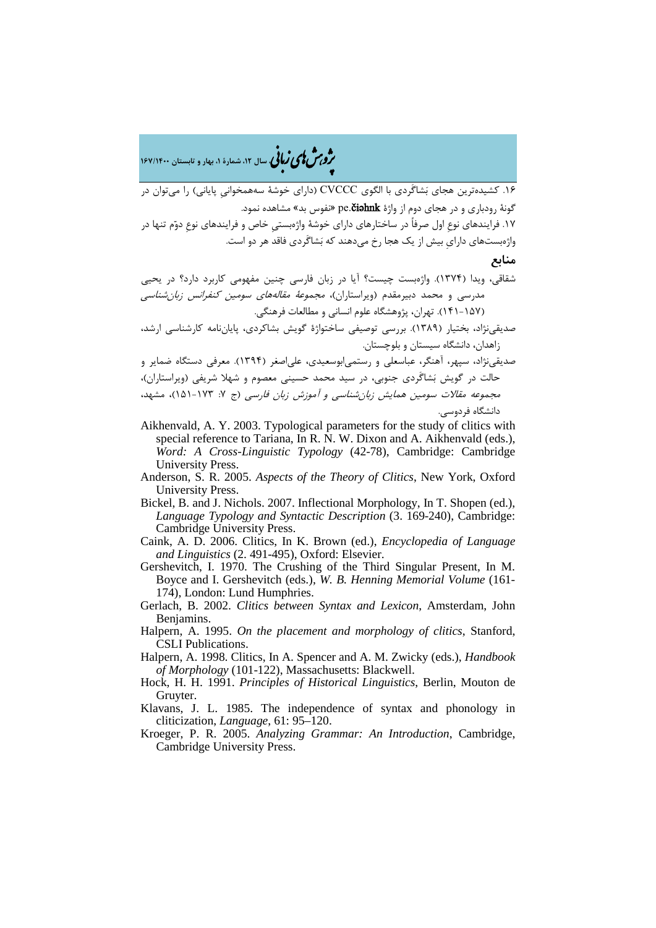�ی زبا **، سال ،12 شمارة ،1 بهار و تابستان 167/1400** � �و ی �ش

.16 کشیدهترین هجاي بشاگَردي با الگوي CVCCC) داراي خوشۀ سههمخوانیِ پایانی) را میتوان در گونۀ رودباري و در هجاي دوم از واژة pe.**čiəhnk** «نفوس بد» مشاهده نمود. .17 فرایندهاي نوعِ اول صرفاً در ساختارهاي داراي خوشۀ واژهبستیِ خاص و فرایندهاي نوعِ دوم تنها در واژهبستهاي دارايِ بیش از یک هجا رخ میدهند که بشاگَردي فاقد هر دو است.

## **منابع**

شقاقی، ویدا (1374). واژهبست چیست؟ آیا در زبان فارسی چنین مفهومی کاربرد دارد؟ در یحیی مدرسی و محمد دبیرمقدم (ویراستاران)، مجموعۀ مقالههاي سومین کنفرانس زبانشناسی (141-157). تهران، پژوهشگاه علوم انسانی و مطالعات فرهنگی.

صدیقینژاد، بختیار (1389). بررسی توصیفی ساختواژة گویش بشاکردي، پایاننامه کارشناسی ارشد، زاهدان، دانشگاه سیستان و بلوچستان.

صدیقینژاد، سپهر، آهنگر، عباسعلی و رستمیابوسعیدي، علیاصغر (1394). معرفی دستگاه ضمایر و حالت در گویش بشاگَردي جنوبی، در سید محمد حسینی معصوم و شهلا شریفی (ویراستاران)، مجموعه مقالات سومین همایش زبان شناسی و آموزش زبان فارسی (ج ۷: ۱۷۳-۱۵۱)، مشهد، دانشگاه فردوسی.

- Aikhenvald, A. Y. 2003. Typological parameters for the study of clitics with special reference to Tariana, In R. N. W. Dixon and A. Aikhenvald (eds.), *Word: A Cross-Linguistic Typology* (42-78), Cambridge: Cambridge University Press.
- Anderson, S. R. 2005. *Aspects of the Theory of Clitics*, New York, Oxford University Press.
- Bickel, B. and J. Nichols. 2007. Inflectional Morphology, In T. Shopen (ed.), *Language Typology and Syntactic Description* (3. 169-240), Cambridge: Cambridge University Press.
- Caink, A. D. 2006. Clitics, In K. Brown (ed.), *Encyclopedia of Language and Linguistics* (2. 491-495), Oxford: Elsevier.
- Gershevitch, I. 1970. The Crushing of the Third Singular Present, In M. Boyce and I. Gershevitch (eds.), *W. B. Henning Memorial Volume* (161- 174), London: Lund Humphries.
- Gerlach, B. 2002. *Clitics between Syntax and Lexicon*, Amsterdam, John Benjamins.
- Halpern, A. 1995. *On the placement and morphology of clitics*, Stanford, CSLI Publications.
- Halpern, A. 1998. Clitics, In A. Spencer and A. M. Zwicky (eds.), *Handbook of Morphology* (101-122), Massachusetts: Blackwell.
- Hock, H. H. 1991. *Principles of Historical Linguistics*, Berlin, Mouton de Gruyter.
- Klavans, J. L. 1985. The independence of syntax and phonology in cliticization, *Language*, 61: 95–120.
- Kroeger, P. R. 2005. *Analyzing Grammar: An Introduction*, Cambridge, Cambridge University Press.